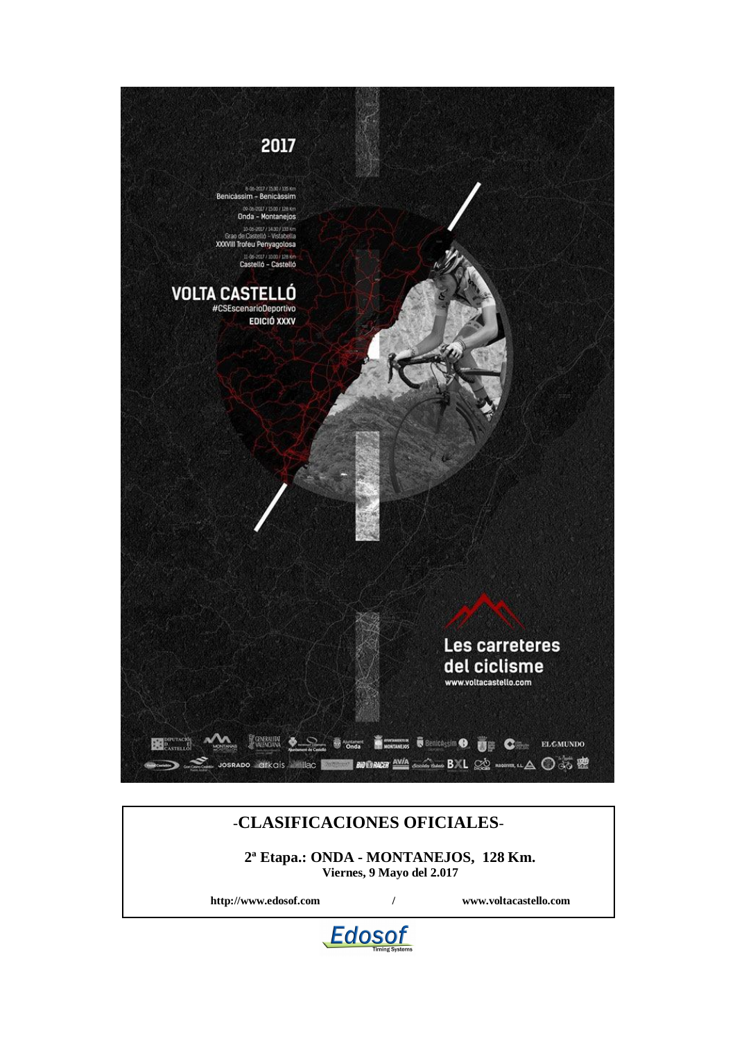

### -**CLASIFICACIONES OFICIALES**-

**2ª Etapa.: ONDA - MONTANEJOS, 128 Km. Viernes, 9 Mayo del 2.017**

**http://www.edosof.com / www.voltacastello.com**

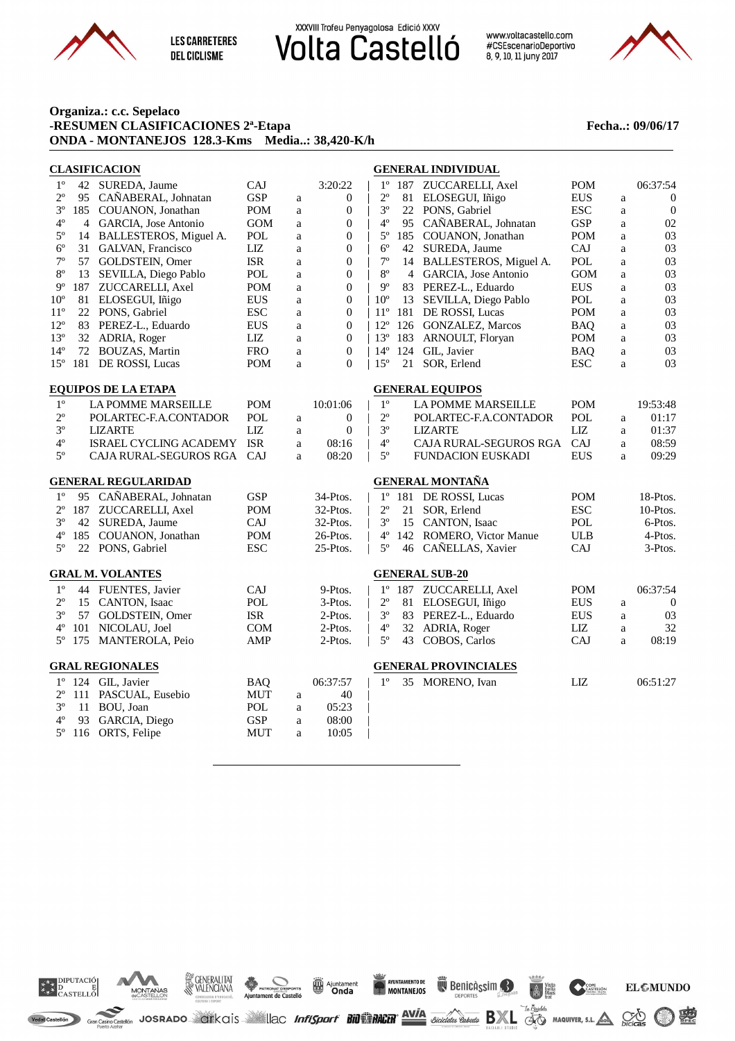



www.voltacastello.com #CSEscenarioDeportivo 8, 9, 10, 11 juny 2017

#### **Organiza.: c.c. Sepelaco -RESUMEN CLASIFICACIONES 2ª-Etapa Fecha..: 09/06/17 ONDA - MONTANEJOS 128.3-Kms Media..: 38,420-K/h**

|              |     | <b>CLASIFICACION</b>       |              |             |                  |              | <b>GENERAL INDIVIDUAL</b>   |            |          |                  |
|--------------|-----|----------------------------|--------------|-------------|------------------|--------------|-----------------------------|------------|----------|------------------|
| $1^{\rm o}$  | 42  | SUREDA, Jaume              | <b>CAJ</b>   |             | 3:20:22          | $1^{\circ}$  | 187 ZUCCARELLI, Axel        | <b>POM</b> |          | 06:37:54         |
| $2^{\circ}$  |     | 95 CAÑABERAL, Johnatan     | <b>GSP</b>   | a           | $\mathbf{0}$     | $2^{\circ}$  | 81 ELOSEGUI, Iñigo          | <b>EUS</b> | a        | $\theta$         |
| $3^{\circ}$  |     | 185 COUANON, Jonathan      | POM          | a           | $\boldsymbol{0}$ | $3^{\circ}$  | 22 PONS, Gabriel            | <b>ESC</b> | a        | $\mathbf{0}$     |
| $4^{\circ}$  |     | 4 GARCIA, Jose Antonio     | <b>GOM</b>   | $\rm{a}$    | $\boldsymbol{0}$ | $4^{\circ}$  | 95 CAÑABERAL, Johnatan      | <b>GSP</b> | $\rm{a}$ | 02               |
| $5^{\circ}$  |     | 14 BALLESTEROS, Miguel A.  | POL          | a           | $\boldsymbol{0}$ | $5^{\circ}$  | 185 COUANON, Jonathan       | <b>POM</b> | a        | 03               |
| $6^{\rm o}$  |     | 31 GALVAN, Francisco       | $_{\rm LIZ}$ | $\rm{a}$    | $\boldsymbol{0}$ | $6^{\circ}$  | 42 SUREDA, Jaume            | CAJ        | a        | 03               |
| $7^{\circ}$  |     | 57 GOLDSTEIN, Omer         | <b>ISR</b>   | a           | $\overline{0}$   | $7^{\circ}$  | 14 BALLESTEROS, Miguel A.   | POL        | a        | 03               |
| $8^{\rm o}$  | 13  | SEVILLA, Diego Pablo       | POL          | a           | $\boldsymbol{0}$ | $8^{\circ}$  | 4 GARCIA, Jose Antonio      | <b>GOM</b> | a        | 03               |
| $9^{\circ}$  | 187 | ZUCCARELLI, Axel           | <b>POM</b>   | a           | $\overline{0}$   | $9^{\circ}$  | 83 PEREZ-L., Eduardo        | <b>EUS</b> | a        | 03               |
| $10^{\circ}$ |     | 81 ELOSEGUI, Iñigo         | <b>EUS</b>   | a           | $\boldsymbol{0}$ | $10^{\circ}$ | 13 SEVILLA, Diego Pablo     | POL        | a        | 03               |
| $11^{\circ}$ |     | 22 PONS, Gabriel           | <b>ESC</b>   | $\rm{a}$    | $\boldsymbol{0}$ | $11^{\circ}$ | 181 DE ROSSI, Lucas         | POM        | a        | 03               |
| $12^{\circ}$ |     | 83 PEREZ-L., Eduardo       | <b>EUS</b>   | $\mathbf a$ | $\boldsymbol{0}$ | $12^{\circ}$ | 126 GONZALEZ, Marcos        | <b>BAQ</b> | a        | 03               |
| $13^{\circ}$ | 32  | ADRIA, Roger               | LIZ          | $\mathbf a$ | $\boldsymbol{0}$ | $13^{\circ}$ | 183 ARNOULT, Floryan        | <b>POM</b> | a        | 03               |
| $14^{\circ}$ | 72  | BOUZAS, Martin             | <b>FRO</b>   | $\rm{a}$    | $\mathbf{0}$     | $14^{\circ}$ | 124 GIL, Javier             | <b>BAQ</b> | a        | 03               |
| $15^{\circ}$ | 181 | DE ROSSI, Lucas            | <b>POM</b>   | $\mathbf a$ | $\theta$         | $15^{\circ}$ | 21 SOR, Erlend              | <b>ESC</b> | a        | 03               |
|              |     | <b>EQUIPOS DE LA ETAPA</b> |              |             |                  |              | <b>GENERAL EQUIPOS</b>      |            |          |                  |
| $1^{\rm o}$  |     | <b>LA POMME MARSEILLE</b>  | <b>POM</b>   |             | 10:01:06         | $1^{\circ}$  | <b>LA POMME MARSEILLE</b>   | <b>POM</b> |          | 19:53:48         |
| $2^{\circ}$  |     | POLARTEC-F.A.CONTADOR      | POL          | a           | $\boldsymbol{0}$ | $2^{\circ}$  | POLARTEC-F.A.CONTADOR       | POL        | a        | 01:17            |
| $3^{\circ}$  |     | <b>LIZARTE</b>             | LIZ          | a           | $\theta$         | $3^{\circ}$  | <b>LIZARTE</b>              | LIZ        | a        | 01:37            |
| $4^{\circ}$  |     | ISRAEL CYCLING ACADEMY     | <b>ISR</b>   | $\mathbf a$ | 08:16            | $4^{\circ}$  | CAJA RURAL-SEGUROS RGA      | CAJ        | a        | 08:59            |
| $5^{\rm o}$  |     | CAJA RURAL-SEGUROS RGA     | <b>CAJ</b>   | a           | 08:20            | $5^{\circ}$  | <b>FUNDACION EUSKADI</b>    | <b>EUS</b> | a        | 09:29            |
|              |     | <b>GENERAL REGULARIDAD</b> |              |             |                  |              | <b>GENERAL MONTAÑA</b>      |            |          |                  |
| $1^{\circ}$  |     | 95 CAÑABERAL, Johnatan     | <b>GSP</b>   |             | 34-Ptos.         | $1^{\circ}$  | 181 DE ROSSI, Lucas         | <b>POM</b> |          | 18-Ptos.         |
| $2^{\circ}$  |     | 187 ZUCCARELLI, Axel       | POM          |             | 32-Ptos.         | $2^{\circ}$  | 21 SOR, Erlend              | <b>ESC</b> |          | 10-Ptos.         |
| $3^{\circ}$  | 42  | SUREDA, Jaume              | CAJ          |             | $32-P$ tos.      | $3^{\circ}$  | 15 CANTON, Isaac            | POL        |          | 6-Ptos.          |
| $4^{\circ}$  |     | 185 COUANON, Jonathan      | POM          |             | 26-Ptos.         | $4^{\circ}$  | 142 ROMERO, Victor Manue    | <b>ULB</b> |          | 4-Ptos.          |
| $5^{\circ}$  |     | 22 PONS, Gabriel           | <b>ESC</b>   |             | $25-P$ tos.      | $5^{\circ}$  | 46 CAÑELLAS, Xavier         | CAJ        |          | 3-Ptos.          |
|              |     |                            |              |             |                  |              |                             |            |          |                  |
|              |     | <b>GRAL M. VOLANTES</b>    |              |             |                  |              | <b>GENERAL SUB-20</b>       |            |          |                  |
| $1^{\circ}$  |     | 44 FUENTES, Javier         | CAJ          |             | 9-Ptos.          | $1^{\circ}$  | 187 ZUCCARELLI, Axel        | <b>POM</b> |          | 06:37:54         |
| $2^{\circ}$  |     | 15 CANTON, Isaac           | POL          |             | 3-Ptos.          | $2^{\circ}$  | 81 ELOSEGUI, Iñigo          | <b>EUS</b> | a        | $\boldsymbol{0}$ |
| $3^{\circ}$  |     | 57 GOLDSTEIN, Omer         | <b>ISR</b>   |             | 2-Ptos.          | $3^{\circ}$  | 83 PEREZ-L., Eduardo        | <b>EUS</b> | a        | 03               |
| 4°           | 101 | NICOLAU, Joel              | <b>COM</b>   |             | 2-Ptos.          | $4^{\circ}$  | 32 ADRIA, Roger             | LIZ        | a        | 32               |
| $5^{\circ}$  |     | 175 MANTEROLA, Peio        | AMP          |             | 2-Ptos.          | $5^{\circ}$  | 43 COBOS, Carlos            | CAJ        | a        | 08:19            |
|              |     | <b>GRAL REGIONALES</b>     |              |             |                  |              | <b>GENERAL PROVINCIALES</b> |            |          |                  |
| $1^{\circ}$  |     | 124 GIL, Javier            | <b>BAQ</b>   |             | 06:37:57         | $1^{\circ}$  | 35 MORENO, Ivan             | <b>LIZ</b> |          | 06:51:27         |
| $2^{\circ}$  |     | 111 PASCUAL, Eusebio       | MUT          | a           | 40               |              |                             |            |          |                  |
| $3^{\rm o}$  | 11  | BOU, Joan                  | POL          | $\rm{a}$    | 05:23            |              |                             |            |          |                  |
| $4^{\circ}$  | 93  | GARCIA, Diego              | <b>GSP</b>   | a           | 08:00            |              |                             |            |          |                  |
| $5^{\circ}$  |     | 116 ORTS, Felipe           | MUT          | $\mathbf a$ | 10:05            |              |                             |            |          |                  |
|              |     |                            |              |             |                  |              |                             |            |          |                  |

AYUNTAMENTO DE RECORTES SIM

**Societion JOSRADO CIRCIS** ILOC *Infisport* **BIONERICH AVIA** *Biodeles Pabeta* BXL <sup>7</sup>4 *Resetted* MAQUIVER, S.L. A CO CHECK

**Talk** Vista<br>**Talk** Della<br>**Mages** 

CASTELLON

Ajuntament

ent de Castelló



Vedat Castellón

GENERALITAT

MONTANAS



 $\mathbf{EL}\mathbb{C}\mathbf{MUNDO}$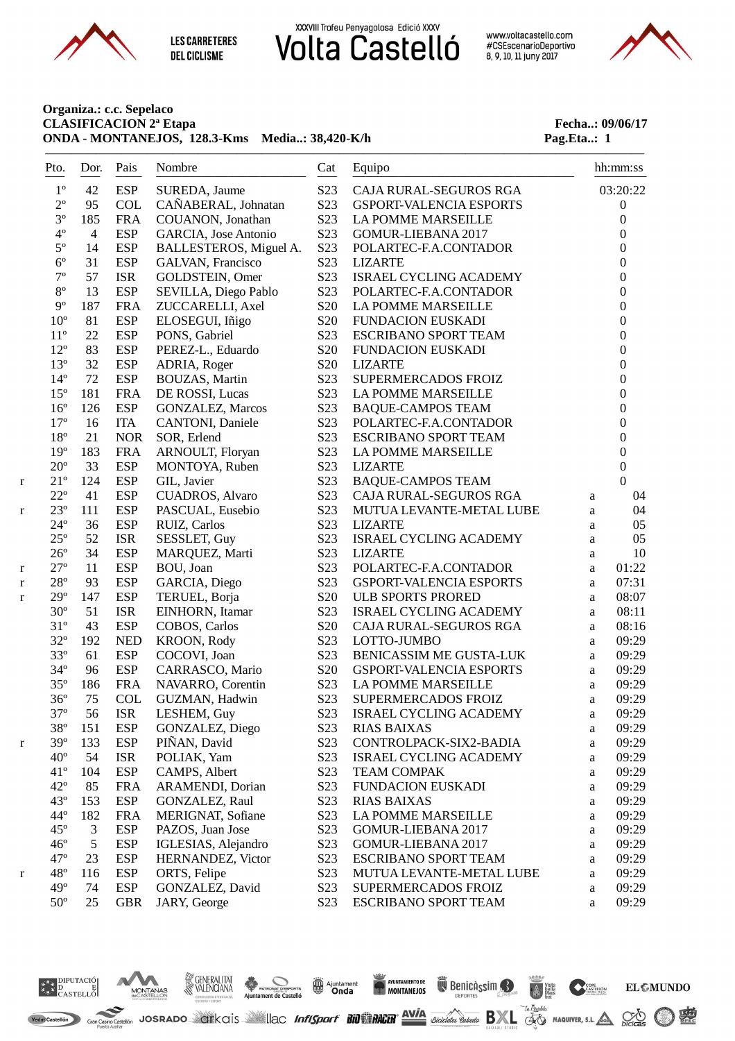

**Volta Castello** 

www.voltacastello.com #CSEscenarioDeportivo 8, 9, 10, 11 juny 2017



#### Organiza.: c.c. Sepelaco **CLASIFICACION 2ª Etapa** ONDA - MONTANEJOS, 128.3-Kms Media..: 38,420-K/h

#### Fecha..: 09/06/17 Pag.Eta..: 1

| Pto.<br>$- - -$ | Dor.<br>$---$  | Pais       | Nombre                  | Cat              | Equipo                        |          | hh:mm:ss         |
|-----------------|----------------|------------|-------------------------|------------------|-------------------------------|----------|------------------|
| $1^{\circ}$     | 42             | <b>ESP</b> | SUREDA, Jaume           | S23              | CAJA RURAL-SEGUROS RGA        |          | 03:20:22         |
| $2^{\rm o}$     | 95             | <b>COL</b> | CAÑABERAL, Johnatan     | S23              | GSPORT-VALENCIA ESPORTS       |          | $\boldsymbol{0}$ |
| $3^{\circ}$     | 185            | <b>FRA</b> | COUANON, Jonathan       | S23              | LA POMME MARSEILLE            |          | $\boldsymbol{0}$ |
| $4^{\circ}$     | $\overline{4}$ | <b>ESP</b> | GARCIA, Jose Antonio    | S <sub>23</sub>  | GOMUR-LIEBANA 2017            |          | $\boldsymbol{0}$ |
| $5^{\circ}$     | 14             | <b>ESP</b> | BALLESTEROS, Miguel A.  | S <sub>2</sub> 3 | POLARTEC-F.A.CONTADOR         |          | $\boldsymbol{0}$ |
| $6^{\rm o}$     | 31             | <b>ESP</b> | GALVAN, Francisco       | S <sub>2</sub> 3 | <b>LIZARTE</b>                |          | $\boldsymbol{0}$ |
| $7^{\rm o}$     | 57             | <b>ISR</b> | GOLDSTEIN, Omer         | S <sub>23</sub>  | <b>ISRAEL CYCLING ACADEMY</b> |          | $\boldsymbol{0}$ |
| $8^{\rm o}$     | 13             | <b>ESP</b> | SEVILLA, Diego Pablo    | S <sub>2</sub> 3 | POLARTEC-F.A.CONTADOR         |          | $\boldsymbol{0}$ |
| $9^{\circ}$     | 187            | <b>FRA</b> | ZUCCARELLI, Axel        | S <sub>20</sub>  | LA POMME MARSEILLE            |          | $\boldsymbol{0}$ |
| $10^{\circ}$    | 81             | <b>ESP</b> | ELOSEGUI, Iñigo         | S <sub>20</sub>  | <b>FUNDACION EUSKADI</b>      |          | $\boldsymbol{0}$ |
| $11^{\circ}$    | 22             | <b>ESP</b> | PONS, Gabriel           | S <sub>2</sub> 3 | <b>ESCRIBANO SPORT TEAM</b>   |          | $\boldsymbol{0}$ |
| $12^{\circ}$    | 83             | <b>ESP</b> | PEREZ-L., Eduardo       | S <sub>20</sub>  | FUNDACION EUSKADI             |          | $\boldsymbol{0}$ |
| $13^{\circ}$    | 32             | <b>ESP</b> | ADRIA, Roger            | S <sub>20</sub>  | <b>LIZARTE</b>                |          | $\boldsymbol{0}$ |
| $14^{\circ}$    | 72             | <b>ESP</b> | <b>BOUZAS</b> , Martin  | S <sub>2</sub> 3 | SUPERMERCADOS FROIZ           |          | $\boldsymbol{0}$ |
| $15^{\circ}$    | 181            | <b>FRA</b> | DE ROSSI, Lucas         | S <sub>2</sub> 3 | LA POMME MARSEILLE            |          | $\boldsymbol{0}$ |
| $16^{\circ}$    | 126            | <b>ESP</b> | <b>GONZALEZ, Marcos</b> | S <sub>2</sub> 3 | <b>BAQUE-CAMPOS TEAM</b>      |          | $\boldsymbol{0}$ |
| $17^{\circ}$    | 16             | <b>ITA</b> | CANTONI, Daniele        | S <sub>2</sub> 3 | POLARTEC-F.A.CONTADOR         |          | $\boldsymbol{0}$ |
| $18^{\circ}$    | 21             | <b>NOR</b> | SOR, Erlend             | S <sub>2</sub> 3 | <b>ESCRIBANO SPORT TEAM</b>   |          | $\boldsymbol{0}$ |
| $19^{\circ}$    | 183            | <b>FRA</b> | ARNOULT, Floryan        | S <sub>2</sub> 3 | LA POMME MARSEILLE            |          | $\boldsymbol{0}$ |
| $20^{\circ}$    | 33             | <b>ESP</b> | MONTOYA, Ruben          | S23              | <b>LIZARTE</b>                |          | $\boldsymbol{0}$ |
| $21^{\circ}$    | 124            | <b>ESP</b> | GIL, Javier             | S <sub>2</sub> 3 | <b>BAQUE-CAMPOS TEAM</b>      |          | $\theta$         |
| $22^{\circ}$    | 41             | <b>ESP</b> | CUADROS, Alvaro         | S <sub>2</sub> 3 | CAJA RURAL-SEGUROS RGA        | a        | 04               |
| $23^{\circ}$    | 111            | <b>ESP</b> | PASCUAL, Eusebio        | S <sub>2</sub> 3 | MUTUA LEVANTE-METAL LUBE      | a        | 04               |
| $24^{\circ}$    | 36             | <b>ESP</b> | RUIZ, Carlos            | S <sub>2</sub> 3 | <b>LIZARTE</b>                | a        | 05               |
| $25^{\circ}$    | 52             | <b>ISR</b> | SESSLET, Guy            | S23              | ISRAEL CYCLING ACADEMY        | a        | 05               |
| $26^{\circ}$    | 34             | <b>ESP</b> | MARQUEZ, Marti          | S23              | <b>LIZARTE</b>                | a        | 10               |
| $27^{\circ}$    | 11             | <b>ESP</b> | BOU, Joan               | S <sub>2</sub> 3 | POLARTEC-F.A.CONTADOR         | a        | 01:22            |
| $28^{\rm o}$    | 93             | <b>ESP</b> | GARCIA, Diego           | S23              | GSPORT-VALENCIA ESPORTS       | a        | 07:31            |
| $29^{\circ}$    | 147            | <b>ESP</b> | TERUEL, Borja           | S <sub>20</sub>  | <b>ULB SPORTS PRORED</b>      | a        | 08:07            |
| $30^{\circ}$    | 51             | <b>ISR</b> | EINHORN, Itamar         | S <sub>2</sub> 3 | ISRAEL CYCLING ACADEMY        | a        | 08:11            |
| $31^{\circ}$    | 43             | <b>ESP</b> | COBOS, Carlos           | S <sub>20</sub>  | CAJA RURAL-SEGUROS RGA        | a        | 08:16            |
| $32^{\circ}$    | 192            | <b>NED</b> | KROON, Rody             | S <sub>2</sub> 3 | LOTTO-JUMBO                   | a        | 09:29            |
| $33^{\circ}$    | 61             | <b>ESP</b> | COCOVI, Joan            | S <sub>2</sub> 3 | BENICASSIM ME GUSTA-LUK       | a        | 09:29            |
| $34^{\circ}$    | 96             | <b>ESP</b> | CARRASCO, Mario         | S <sub>20</sub>  | GSPORT-VALENCIA ESPORTS       | a        | 09:29            |
| $35^{\circ}$    | 186            | <b>FRA</b> | NAVARRO, Corentin       | S <sub>2</sub> 3 | LA POMME MARSEILLE            | $\rm{a}$ | 09:29            |
| $36^{\circ}$    | 75             | <b>COL</b> | GUZMAN, Hadwin          | S23              | SUPERMERCADOS FROIZ           | a        | 09:29            |
| $37^{\circ}$    | 56             | <b>ISR</b> | LESHEM, Guy             | S23              | ISRAEL CYCLING ACADEMY        | a        | 09:29            |
| $38^{\circ}$    | 151            | <b>ESP</b> | GONZALEZ, Diego         | S <sub>2</sub> 3 | <b>RIAS BAIXAS</b>            | a        | 09:29            |
| $39^\circ$      | 133            | <b>ESP</b> | PIÑAN, David            | S <sub>2</sub> 3 | CONTROLPACK-SIX2-BADIA        | a        | 09:29            |
| $40^{\circ}$    | 54             | <b>ISR</b> | POLIAK, Yam             | S <sub>2</sub> 3 | ISRAEL CYCLING ACADEMY        | a        | 09:29            |
| $41^{\circ}$    | 104            | <b>ESP</b> | CAMPS, Albert           | S <sub>2</sub> 3 | <b>TEAM COMPAK</b>            | a        | 09:29            |
| $42^{\circ}$    | 85             | <b>FRA</b> | ARAMENDI, Dorian        | S <sub>2</sub> 3 | <b>FUNDACION EUSKADI</b>      | a        | 09:29            |
| $43^{\circ}$    | 153            | <b>ESP</b> | GONZALEZ, Raul          | S <sub>2</sub> 3 | <b>RIAS BAIXAS</b>            | a        | 09:29            |
| $44^{\circ}$    | 182            | <b>FRA</b> | MERIGNAT, Sofiane       | S <sub>2</sub> 3 | LA POMME MARSEILLE            | a        | 09:29            |
| $45^{\circ}$    | 3              | <b>ESP</b> | PAZOS, Juan Jose        | S <sub>2</sub> 3 | GOMUR-LIEBANA 2017            | a        | 09:29            |
| $46^{\circ}$    | 5              | <b>ESP</b> | IGLESIAS, Alejandro     | S <sub>2</sub> 3 | GOMUR-LIEBANA 2017            | a        | 09:29            |
| $47^{\circ}$    | 23             | <b>ESP</b> | HERNANDEZ, Victor       | S <sub>2</sub> 3 | <b>ESCRIBANO SPORT TEAM</b>   | a        | 09:29            |
| $48^{\circ}$    | 116            | <b>ESP</b> | ORTS, Felipe            | S <sub>2</sub> 3 | MUTUA LEVANTE-METAL LUBE      | $\rm{a}$ | 09:29            |
| $49^\circ$      | 74             | <b>ESP</b> | GONZALEZ, David         | S <sub>2</sub> 3 | SUPERMERCADOS FROIZ           | a        | 09:29            |
| $50^{\circ}$    | 25             | <b>GBR</b> | JARY, George            | S <sub>2</sub> 3 | <b>ESCRIBANO SPORT TEAM</b>   | a        | 09:29            |

 $\begin{bmatrix} \hat{\xi}^{\hat{n}} \\ \hat{\xi}^{\hat{n}} \\ \end{bmatrix} \begin{bmatrix} \text{DIPUTACI0} \\ \text{D} \\ \text{CASTELLO} \end{bmatrix}$ 

Vedat Castellón

 $\mathbf{r}$ 

 $\mathbf{r}$ 

 $\bf r$  $\mathbf{r}$  $\mathbf{r}$ 

 $\mathbf{r}$ 

 $\mathbf{r}$ 

No Castellón JOSRADO CIKCIS | 12C *Infisport Biù MACH BOLL deletes Pabeta* BXL de MAQUIVER, S.L. **AN COLL DE COLLECT** 

ent de Castelló

Ajuntament

GENERALITAT

MONTANAS

AYUNTAMIENTO DE MORTICA SIM **The United State** CASTELLÓN

**EL©MUNDO**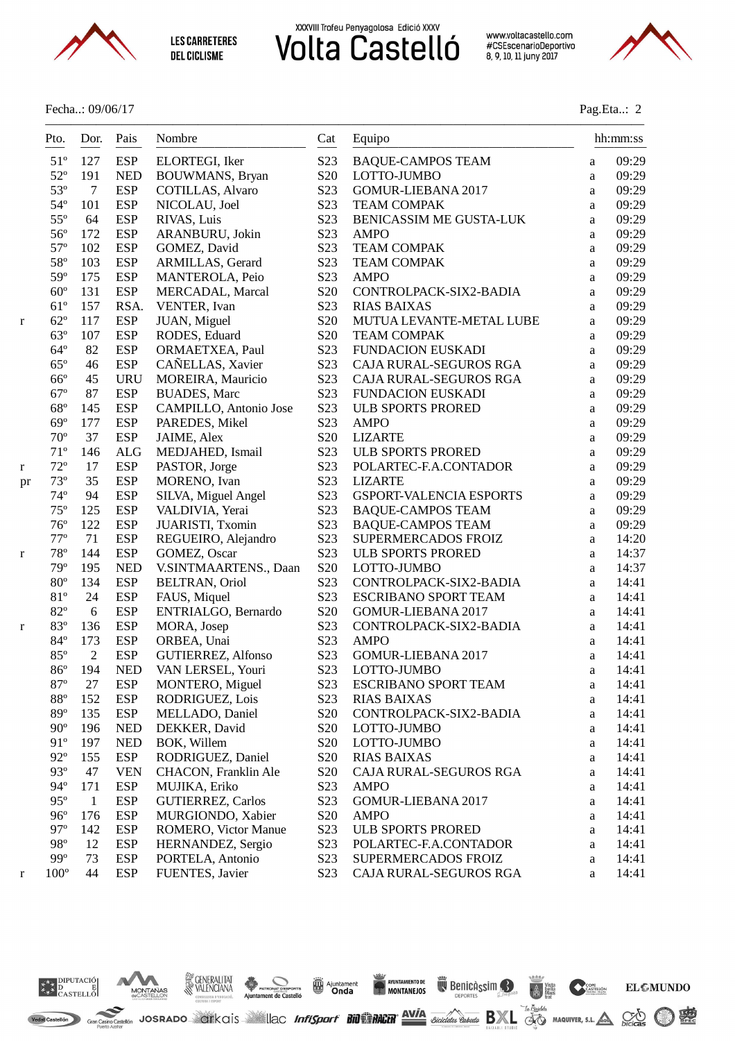

www.voltacastello.com<br>#CSEscenarioDeportivo<br>8, 9, 10, 11 juny 2017



Fecha..: 09/06/17 Pag.Eta..: 2

|    | Pto.<br>$- - -$ | Dor.<br>$- - -$  | Pais<br>$- - - - -$ | Nombre                                        | Cat                                 | Equipo<br>___________________         |          | hh:mm:ss       |
|----|-----------------|------------------|---------------------|-----------------------------------------------|-------------------------------------|---------------------------------------|----------|----------------|
|    | $51^{\circ}$    | 127              | <b>ESP</b>          | ELORTEGI, Iker                                | S23                                 | <b>BAQUE-CAMPOS TEAM</b>              | a        | 09:29          |
|    | $52^{\circ}$    | 191              | <b>NED</b>          | BOUWMANS, Bryan                               | S <sub>20</sub>                     | LOTTO-JUMBO                           | a        | 09:29          |
|    | $53^{\circ}$    | $7\phantom{.0}$  | <b>ESP</b>          | <b>COTILLAS, Alvaro</b>                       | S <sub>2</sub> 3                    | GOMUR-LIEBANA 2017                    | a        | 09:29          |
|    | $54^{\circ}$    | 101              | <b>ESP</b>          | NICOLAU, Joel                                 | S <sub>2</sub> 3                    | <b>TEAM COMPAK</b>                    | a        | 09:29          |
|    | $55^{\circ}$    | 64               | <b>ESP</b>          | RIVAS, Luis                                   | S <sub>2</sub> 3                    | BENICASSIM ME GUSTA-LUK               | $\rm{a}$ | 09:29          |
|    | $56^{\circ}$    | 172              | <b>ESP</b>          | ARANBURU, Jokin                               | S <sub>2</sub> 3                    | <b>AMPO</b>                           | $\rm{a}$ | 09:29          |
|    | $57^{\circ}$    | 102              | <b>ESP</b>          | GOMEZ, David                                  | S <sub>2</sub> 3                    | <b>TEAM COMPAK</b>                    | a        | 09:29          |
|    | $58^{\circ}$    | 103              | <b>ESP</b>          | ARMILLAS, Gerard                              | S <sub>2</sub> 3                    | <b>TEAM COMPAK</b>                    | a        | 09:29          |
|    | $59^\circ$      | 175              | <b>ESP</b>          | MANTEROLA, Peio                               | S <sub>2</sub> 3                    | <b>AMPO</b>                           | a        | 09:29          |
|    | $60^{\circ}$    | 131              | <b>ESP</b>          | MERCADAL, Marcal                              | S <sub>20</sub>                     | CONTROLPACK-SIX2-BADIA                | $\rm{a}$ | 09:29          |
|    | $61^{\circ}$    | 157              | RSA.                | VENTER, Ivan                                  | S23                                 | <b>RIAS BAIXAS</b>                    | a        | 09:29          |
| r  | $62^{\circ}$    | 117              | <b>ESP</b>          | JUAN, Miguel                                  | S <sub>20</sub>                     | MUTUA LEVANTE-METAL LUBE              | a        | 09:29          |
|    | $63^\circ$      | 107              | <b>ESP</b>          | RODES, Eduard                                 | S <sub>20</sub>                     | <b>TEAM COMPAK</b>                    | a        | 09:29          |
|    | $64^{\circ}$    | 82               | <b>ESP</b>          | ORMAETXEA, Paul                               | S23                                 | <b>FUNDACION EUSKADI</b>              | a        | 09:29          |
|    | $65^{\circ}$    | 46               | <b>ESP</b>          | CAÑELLAS, Xavier                              | S23                                 | CAJA RURAL-SEGUROS RGA                | a        | 09:29          |
|    | $66^{\circ}$    | 45               | <b>URU</b>          | MOREIRA, Mauricio                             | S23                                 | CAJA RURAL-SEGUROS RGA                | $\rm{a}$ | 09:29          |
|    | $67^\circ$      | 87               | <b>ESP</b>          | <b>BUADES</b> , Marc                          | S23                                 | <b>FUNDACION EUSKADI</b>              | a        | 09:29          |
|    | $68^{\circ}$    | 145              | <b>ESP</b>          | CAMPILLO, Antonio Jose                        | S23                                 | ULB SPORTS PRORED                     | $\rm{a}$ | 09:29          |
|    | $69^\circ$      | 177              | <b>ESP</b>          | PAREDES, Mikel                                | S23                                 | <b>AMPO</b>                           | a        | 09:29          |
|    | $70^{\circ}$    | 37               | <b>ESP</b>          | JAIME, Alex                                   | S <sub>20</sub>                     | <b>LIZARTE</b>                        | a        | 09:29          |
|    | $71^{\circ}$    | 146              | $\rm ALG$           | MEDJAHED, Ismail                              | S <sub>23</sub>                     | <b>ULB SPORTS PRORED</b>              | a        | 09:29          |
| r  | $72^{\circ}$    | 17               | <b>ESP</b>          | PASTOR, Jorge                                 | S23                                 | POLARTEC-F.A.CONTADOR                 | $\rm{a}$ | 09:29          |
| pr | $73^{\circ}$    | 35               | <b>ESP</b>          | MORENO, Ivan                                  | S23                                 | <b>LIZARTE</b>                        | a        | 09:29          |
|    | $74^{\circ}$    | 94               | <b>ESP</b>          | SILVA, Miguel Angel                           | S <sub>23</sub>                     | GSPORT-VALENCIA ESPORTS               | $\rm{a}$ | 09:29          |
|    | $75^{\circ}$    | 125              | <b>ESP</b>          | VALDIVIA, Yerai                               | S23                                 | <b>BAQUE-CAMPOS TEAM</b>              | $\rm{a}$ | 09:29          |
|    | $76^{\circ}$    | 122              | <b>ESP</b>          | JUARISTI, Txomin                              | S23                                 | <b>BAQUE-CAMPOS TEAM</b>              | a        | 09:29          |
|    | $77^{\circ}$    | 71               | <b>ESP</b>          | REGUEIRO, Alejandro                           | S23                                 | SUPERMERCADOS FROIZ                   | a        | 14:20          |
| r  | $78^{\circ}$    | 144              | <b>ESP</b>          | GOMEZ, Oscar                                  | S <sub>2</sub> 3                    | <b>ULB SPORTS PRORED</b>              | a        | 14:37          |
|    | $79^{\circ}$    | 195              | <b>NED</b>          | V.SINTMAARTENS., Daan                         | S <sub>20</sub>                     | LOTTO-JUMBO                           | a        | 14:37          |
|    | $80^{\circ}$    | 134              | <b>ESP</b>          | <b>BELTRAN, Oriol</b>                         | S23                                 | CONTROLPACK-SIX2-BADIA                | $\rm{a}$ | 14:41          |
|    | 81°             | 24               | <b>ESP</b>          | FAUS, Miquel                                  | S23                                 | <b>ESCRIBANO SPORT TEAM</b>           | $\rm{a}$ | 14:41          |
|    | $82^{\circ}$    | $\boldsymbol{6}$ | <b>ESP</b>          | ENTRIALGO, Bernardo                           | S <sub>20</sub>                     | GOMUR-LIEBANA 2017                    | a        | 14:41          |
| r  | 83°             | 136              | <b>ESP</b>          | MORA, Josep                                   | S <sub>2</sub> 3                    | CONTROLPACK-SIX2-BADIA                | $\rm{a}$ | 14:41          |
|    | $84^{\circ}$    | 173              | <b>ESP</b>          | ORBEA, Unai                                   | S <sub>2</sub> 3                    | <b>AMPO</b>                           | a        | 14:41          |
|    | 85°             | $\overline{2}$   | <b>ESP</b>          | GUTIERREZ, Alfonso                            | S <sub>2</sub> 3                    | GOMUR-LIEBANA 2017                    | $\rm{a}$ | 14:41          |
|    | $86^{\circ}$    | 194              | <b>NED</b>          | VAN LERSEL, Youri                             | S <sub>2</sub> 3                    | LOTTO-JUMBO                           | a        | 14:41          |
|    | $87^\circ$      | 27               | <b>ESP</b>          | MONTERO, Miguel                               | S <sub>2</sub> 3                    | <b>ESCRIBANO SPORT TEAM</b>           | a        | 14:41          |
|    | $88^{\rm o}$    | 152              | <b>ESP</b>          | RODRIGUEZ, Lois                               | S <sub>2</sub> 3                    | <b>RIAS BAIXAS</b>                    | a        | 14:41          |
|    | 89°             | 135              | <b>ESP</b>          | MELLADO, Daniel                               | S <sub>20</sub>                     | CONTROLPACK-SIX2-BADIA                | a        | 14:41          |
|    | $90^{\circ}$    | 196              | <b>NED</b>          | DEKKER, David                                 | S <sub>20</sub>                     | LOTTO-JUMBO                           | a        | 14:41          |
|    | 91°             | 197              | <b>NED</b>          | BOK, Willem                                   | S <sub>20</sub>                     | LOTTO-JUMBO                           |          | 14:41          |
|    | $92^{\circ}$    | 155              | <b>ESP</b>          | RODRIGUEZ, Daniel                             | S <sub>20</sub>                     | <b>RIAS BAIXAS</b>                    | a        | 14:41          |
|    | $93^{\circ}$    | 47               | <b>VEN</b>          |                                               | S <sub>20</sub>                     |                                       | a        |                |
|    | $94^{\circ}$    | 171              | <b>ESP</b>          | CHACON, Franklin Ale<br>MUJIKA, Eriko         | S23                                 | CAJA RURAL-SEGUROS RGA<br><b>AMPO</b> | a        | 14:41<br>14:41 |
|    | $95^\circ$      | $\mathbf{1}$     | <b>ESP</b>          |                                               |                                     |                                       | a        |                |
|    | $96^{\circ}$    | 176              | <b>ESP</b>          | <b>GUTIERREZ, Carlos</b><br>MURGIONDO, Xabier | S <sub>2</sub> 3<br>S <sub>20</sub> | GOMUR-LIEBANA 2017<br><b>AMPO</b>     | a        | 14:41<br>14:41 |
|    | $97^{\circ}$    |                  | <b>ESP</b>          | ROMERO, Victor Manue                          |                                     |                                       | a        |                |
|    | $98^{\circ}$    | 142              |                     |                                               | S <sub>2</sub> 3                    | <b>ULB SPORTS PRORED</b>              | a        | 14:41          |
|    |                 | 12               | <b>ESP</b>          | HERNANDEZ, Sergio                             | S <sub>2</sub> 3                    | POLARTEC-F.A.CONTADOR                 | a        | 14:41          |
|    | 99°             | 73               | <b>ESP</b>          | PORTELA, Antonio                              | S <sub>2</sub> 3                    | SUPERMERCADOS FROIZ                   | $\rm{a}$ | 14:41          |
| r  | $100^{\circ}$   | 44               | <b>ESP</b>          | FUENTES, Javier                               | S <sub>2</sub> 3                    | CAJA RURAL-SEGUROS RGA                | a        | 14:41          |



Vedat Castellón

MONTANAS



NOUNTAINENTODE NO BENICLÀSSIM DE CONTENUES DE L'EMUNDO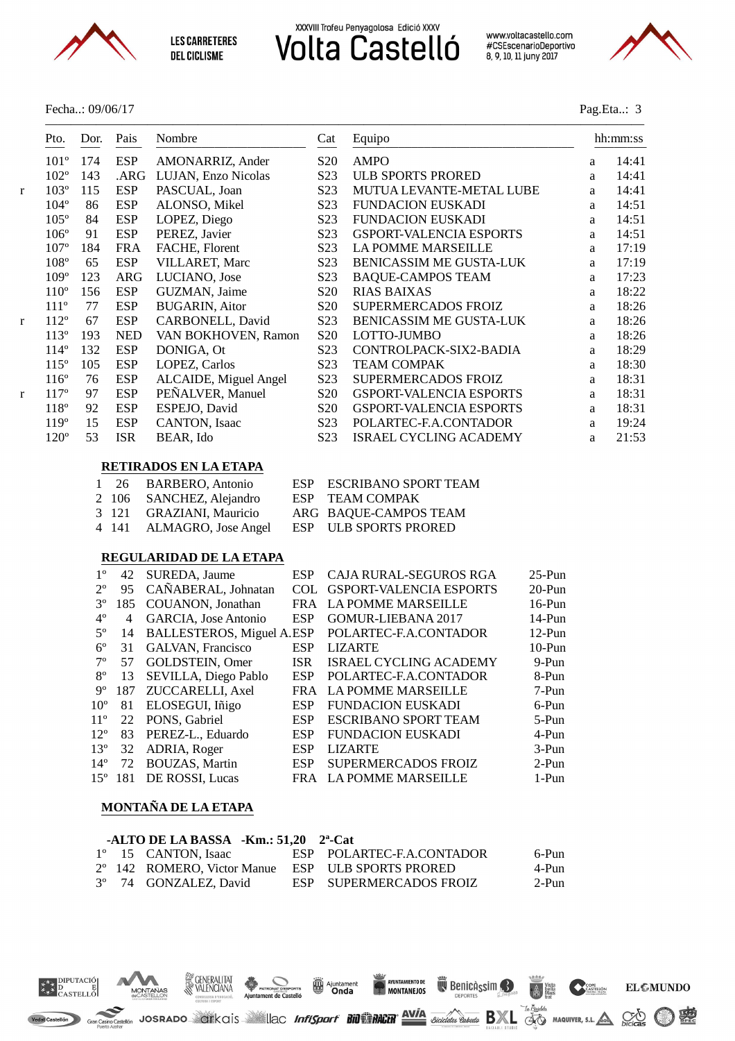

www.voltacastello.com<br>#CSEscenarioDeportivo<br>8, 9, 10, 11 juny 2017

NONTAMENTO DE RECORDER DE DE CONTAMENTO DE BELLEMUNDO



#### Fecha..: 09/06/17 Pag.Eta..: 3

| Pto.             | Dor. | Pais       | Nombre                | Cat              | Equipo                         |   | hh:mm:ss |
|------------------|------|------------|-----------------------|------------------|--------------------------------|---|----------|
| $101^{\circ}$    | 174  | ESP        | AMONARRIZ, Ander      | S <sub>20</sub>  | <b>AMPO</b>                    | a | 14:41    |
| $102^{\circ}$    | 143  | .ARG       | LUJAN, Enzo Nicolas   | S <sub>2</sub> 3 | <b>ULB SPORTS PRORED</b>       | a | 14:41    |
| $103^{\circ}$    | 115  | <b>ESP</b> | PASCUAL, Joan         | S <sub>2</sub> 3 | MUTUA LEVANTE-METAL LUBE       | a | 14:41    |
| $104^{\circ}$    | 86   | <b>ESP</b> | ALONSO, Mikel         | S <sub>2</sub> 3 | <b>FUNDACION EUSKADI</b>       | a | 14:51    |
| $105^\circ$      | 84   | <b>ESP</b> | LOPEZ, Diego          | S <sub>2</sub> 3 | <b>FUNDACION EUSKADI</b>       | a | 14:51    |
| $106^\circ$      | 91   | <b>ESP</b> | PEREZ, Javier         | S <sub>2</sub> 3 | <b>GSPORT-VALENCIA ESPORTS</b> | a | 14:51    |
| $107^{\circ}$    | 184  | <b>FRA</b> | FACHE, Florent        | S <sub>2</sub> 3 | <b>LA POMME MARSEILLE</b>      | a | 17:19    |
| $108^\circ$      | 65   | <b>ESP</b> | <b>VILLARET, Marc</b> | S <sub>2</sub> 3 | <b>BENICASSIM ME GUSTA-LUK</b> | a | 17:19    |
| $109^\circ$      | 123  | <b>ARG</b> | LUCIANO, Jose         | S <sub>2</sub> 3 | <b>BAQUE-CAMPOS TEAM</b>       | a | 17:23    |
| $110^{\circ}$    | 156  | <b>ESP</b> | GUZMAN, Jaime         | S <sub>20</sub>  | <b>RIAS BAIXAS</b>             | a | 18:22    |
| $111^{\circ}$    | 77   | <b>ESP</b> | <b>BUGARIN, Aitor</b> | S <sub>20</sub>  | SUPERMERCADOS FROIZ            | a | 18:26    |
| $112^{\circ}$    | 67   | <b>ESP</b> | CARBONELL, David      | S <sub>2</sub> 3 | <b>BENICASSIM ME GUSTA-LUK</b> | a | 18:26    |
| $113^{\circ}$    | 193  | <b>NED</b> | VAN BOKHOVEN, Ramon   | S <sub>20</sub>  | LOTTO-JUMBO                    | a | 18:26    |
| $114^{\circ}$    | 132  | <b>ESP</b> | DONIGA, Ot            | S <sub>2</sub> 3 | CONTROLPACK-SIX2-BADIA         | a | 18:29    |
| $115^{\circ}$    | 105  | <b>ESP</b> | LOPEZ, Carlos         | S <sub>2</sub> 3 | <b>TEAM COMPAK</b>             | a | 18:30    |
| $116^\circ$      | 76   | <b>ESP</b> | ALCAIDE, Miguel Angel | S <sub>2</sub> 3 | SUPERMERCADOS FROIZ            | a | 18:31    |
| 117 <sup>°</sup> | 97   | <b>ESP</b> | PEÑALVER, Manuel      | S <sub>20</sub>  | <b>GSPORT-VALENCIA ESPORTS</b> | a | 18:31    |
| $118^{\circ}$    | 92   | <b>ESP</b> | ESPEJO, David         | S <sub>20</sub>  | <b>GSPORT-VALENCIA ESPORTS</b> | a | 18:31    |
| 119 <sup>°</sup> | 15   | <b>ESP</b> | CANTON, Isaac         | S <sub>2</sub> 3 | POLARTEC-F.A.CONTADOR          | a | 19:24    |
| $120^\circ$      | 53   | <b>ISR</b> | BEAR, Ido             | S <sub>2</sub> 3 | <b>ISRAEL CYCLING ACADEMY</b>  | a | 21:53    |

#### **RETIRADOS EN LA ETAPA**

|  | 1 26 BARBERO, Antonio     | ESP ESCRIBANO SPORT TEAM |
|--|---------------------------|--------------------------|
|  | 2 106 SANCHEZ, Alejandro  | ESP TEAM COMPAK          |
|  | 3 121 GRAZIANI, Mauricio  | ARG BAQUE-CAMPOS TEAM    |
|  | 4 141 ALMAGRO, Jose Angel | ESP ULB SPORTS PRORED    |

#### **REGULARIDAD DE LA ETAPA**

| $1^{\circ}$     | 42               | SUREDA, Jaume             | <b>ESP</b> | <b>CAJA RURAL-SEGUROS RGA</b>  | $25-Pun$  |
|-----------------|------------------|---------------------------|------------|--------------------------------|-----------|
| $2^{\circ}$     | 95               | CAÑABERAL, Johnatan       | COL        | <b>GSPORT-VALENCIA ESPORTS</b> | 20-Pun    |
| $3^{\circ}$     | 185              | COUANON, Jonathan         | <b>FRA</b> | LA POMME MARSEILLE             | $16$ -Pun |
| $4^{\circ}$     | 4                | GARCIA, Jose Antonio      | <b>ESP</b> | GOMUR-LIEBANA 2017             | 14-Pun    |
| $5^\circ$       | 14               | BALLESTEROS, Miguel A.ESP |            | POLARTEC-F.A.CONTADOR          | $12-Pun$  |
| $6^{\circ}$     | 31               | GALVAN, Francisco         | <b>ESP</b> | <b>LIZARTE</b>                 | $10-Pun$  |
| $7^{\circ}$     | 57               | GOLDSTEIN, Omer           | <b>ISR</b> | <b>ISRAEL CYCLING ACADEMY</b>  | 9-Pun     |
| $8^{\circ}$     | 13               | SEVILLA, Diego Pablo      | <b>ESP</b> | POLARTEC-F.A.CONTADOR          | 8-Pun     |
| 9°              | 187              | ZUCCARELLI, Axel          | <b>FRA</b> | <b>LA POMME MARSEILLE</b>      | 7-Pun     |
| 10 <sup>o</sup> | 81               | ELOSEGUI, Iñigo           | <b>ESP</b> | <b>FUNDACION EUSKADI</b>       | 6-Pun     |
| $11^{\circ}$    | 22               | PONS, Gabriel             | <b>ESP</b> | <b>ESCRIBANO SPORT TEAM</b>    | 5-Pun     |
| $12^{\circ}$    | 83               | PEREZ-L., Eduardo         | <b>ESP</b> | <b>FUNDACION EUSKADI</b>       | 4-Pun     |
| $13^{\circ}$    | 32               | ADRIA, Roger              | <b>ESP</b> | <b>LIZARTE</b>                 | $3-Pun$   |
| $14^{\circ}$    | 72               | BOUZAS, Martin            | <b>ESP</b> | <b>SUPERMERCADOS FROIZ</b>     | $2-Pun$   |
|                 | $15^{\circ}$ 181 | DE ROSSI, Lucas           | <b>FRA</b> | <b>LA POMME MARSEILLE</b>      | 1-Pun     |

#### **MONTAÑA DE LA ETAPA**

MONTANAS

GENERALITAT

|  | -ALTO DE LA BASSA -Km.: $51,20$ $2^a$ -Cat |                                                               |          |
|--|--------------------------------------------|---------------------------------------------------------------|----------|
|  | 1° 15 CANTON, Isaac                        | ESP POLARTEC-F.A.CONTADOR                                     | 6-Pun    |
|  |                                            | 2 <sup>o</sup> 142 ROMERO Victor Manue FSP IILB SPORTS PRORED | $4-P$ un |

PATRONAT DESPORTS<br>Ajuntament de Castelló

|  | 2° 142 ROMERO, Victor Manue ESP ULB SPORTS PRORED |                         | 4-Pun |
|--|---------------------------------------------------|-------------------------|-------|
|  | 3° 74 GONZALEZ, David                             | ESP SUPERMERCADOS FROIZ | 2-Pun |

Ajuntament<br> **Onda** 



Vedat Castellón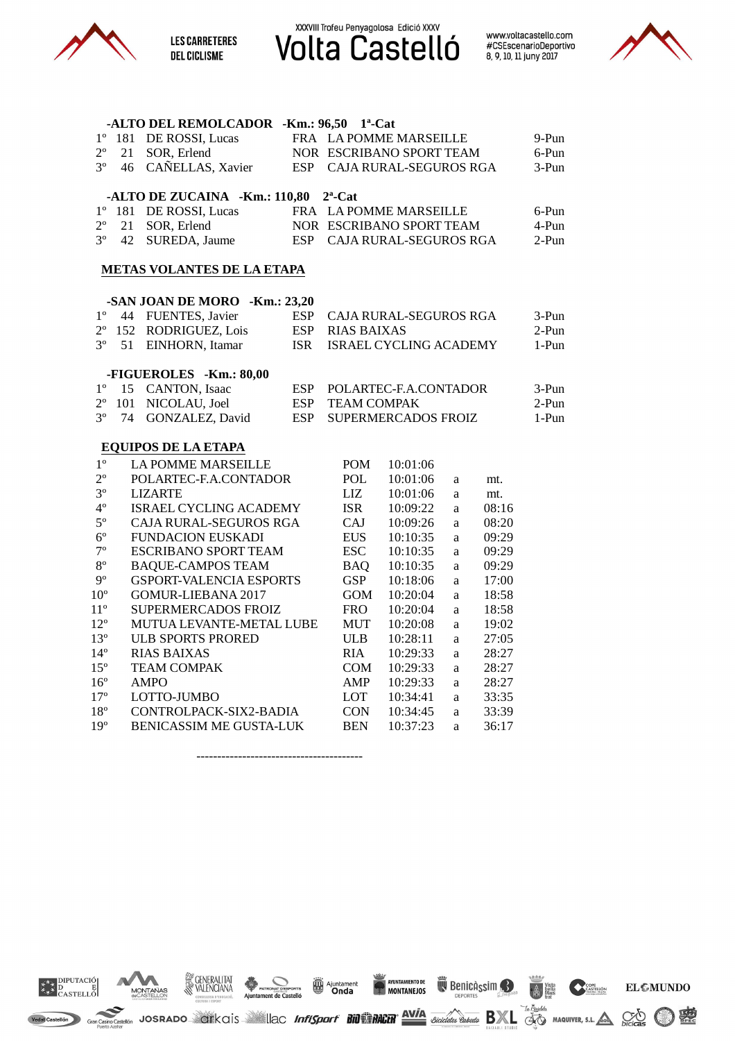

**Volta Castello** 

www.voltacastello.com<br>#CSEscenarioDeportivo<br>8, 9, 10, 11 juny 2017

Algoritament de Castello EL &MUNDO



|              |     | -ALTO DEL REMOLCADOR -Km.: 96,50                 |            | $1^{\circ}$ -Cat   |                               |              |       |         |
|--------------|-----|--------------------------------------------------|------------|--------------------|-------------------------------|--------------|-------|---------|
| $1^{\circ}$  | 181 | DE ROSSI, Lucas                                  |            |                    | FRA LA POMME MARSEILLE        |              |       | 9-Pun   |
| $2^{\circ}$  | 21  | SOR, Erlend                                      |            |                    | NOR ESCRIBANO SPORT TEAM      |              |       | 6-Pun   |
| $3^{\circ}$  | 46  | CAÑELLAS, Xavier                                 | ESP        |                    | CAJA RURAL-SEGUROS RGA        |              |       | 3-Pun   |
|              |     | -ALTO DE ZUCAINA -Km.: 110,80                    |            | $2^a$ -Cat         |                               |              |       |         |
| $1^{\circ}$  | 181 | DE ROSSI, Lucas                                  |            |                    | FRA LA POMME MARSEILLE        |              |       | 6-Pun   |
| $2^{\circ}$  | 21  | SOR, Erlend                                      |            |                    | NOR ESCRIBANO SPORT TEAM      |              |       | 4-Pun   |
| $3^{\circ}$  | 42  | SUREDA, Jaume                                    | <b>ESP</b> |                    | CAJA RURAL-SEGUROS RGA        |              |       | $2-Pun$ |
|              |     | <b>METAS VOLANTES DE LA ETAPA</b>                |            |                    |                               |              |       |         |
|              |     |                                                  |            |                    |                               |              |       |         |
| $1^{\circ}$  | 44  | -SAN JOAN DE MORO -Km.: 23,20<br>FUENTES, Javier | <b>ESP</b> |                    |                               |              |       | 3-Pun   |
| $2^{\circ}$  | 152 | RODRIGUEZ, Lois                                  | <b>ESP</b> | <b>RIAS BAIXAS</b> | CAJA RURAL-SEGUROS RGA        |              |       | 2-Pun   |
| $3^{\circ}$  | 51  |                                                  | <b>ISR</b> |                    | <b>ISRAEL CYCLING ACADEMY</b> |              |       |         |
|              |     | EINHORN, Itamar                                  |            |                    |                               |              |       | 1-Pun   |
|              |     | -FIGUEROLES -Km.: 80,00                          |            |                    |                               |              |       |         |
| $1^{\circ}$  | 15  | CANTON, Isaac                                    | <b>ESP</b> |                    | POLARTEC-F.A.CONTADOR         |              |       | 3-Pun   |
| $2^{\circ}$  | 101 | NICOLAU, Joel                                    | <b>ESP</b> | <b>TEAM COMPAK</b> |                               |              |       | $2-Pun$ |
| $3^{\circ}$  | 74  | GONZALEZ, David                                  | <b>ESP</b> |                    | SUPERMERCADOS FROIZ           |              |       | $1-Pun$ |
|              |     | <b>EQUIPOS DE LA ETAPA</b>                       |            |                    |                               |              |       |         |
| $1^{\circ}$  |     | <b>LA POMME MARSEILLE</b>                        |            | <b>POM</b>         | 10:01:06                      |              |       |         |
| $2^{\circ}$  |     | POLARTEC-F.A.CONTADOR                            |            | POL                | 10:01:06                      | a            | mt.   |         |
| $3^{\circ}$  |     | <b>LIZARTE</b>                                   |            | <b>LIZ</b>         | 10:01:06                      | a            | mt.   |         |
| $4^{\circ}$  |     | <b>ISRAEL CYCLING ACADEMY</b>                    |            | <b>ISR</b>         | 10:09:22                      | a            | 08:16 |         |
| $5^{\circ}$  |     | CAJA RURAL-SEGUROS RGA                           |            | CAJ                | 10:09:26                      | a            | 08:20 |         |
| $6^{\circ}$  |     | <b>FUNDACION EUSKADI</b>                         |            | <b>EUS</b>         | 10:10:35                      | a            | 09:29 |         |
| $7^{\rm o}$  |     | <b>ESCRIBANO SPORT TEAM</b>                      |            | <b>ESC</b>         | 10:10:35                      | a            | 09:29 |         |
| $8^{\circ}$  |     | <b>BAQUE-CAMPOS TEAM</b>                         |            | <b>BAQ</b>         | 10:10:35                      | a            | 09:29 |         |
| $9^{\circ}$  |     | <b>GSPORT-VALENCIA ESPORTS</b>                   |            | <b>GSP</b>         | 10:18:06                      | a            | 17:00 |         |
| $10^{\circ}$ |     | <b>GOMUR-LIEBANA 2017</b>                        |            | <b>GOM</b>         | 10:20:04                      | a            | 18:58 |         |
| $11^{\circ}$ |     | SUPERMERCADOS FROIZ                              |            | <b>FRO</b>         | 10:20:04                      | a            | 18:58 |         |
| $12^{\circ}$ |     | MUTUA LEVANTE-METAL LUBE                         |            | MUT                | 10:20:08                      | a            | 19:02 |         |
| $13^{\circ}$ |     | <b>ULB SPORTS PRORED</b>                         |            | <b>ULB</b>         | 10:28:11                      | a            | 27:05 |         |
| $14^{\circ}$ |     | <b>RIAS BAIXAS</b>                               |            | <b>RIA</b>         | 10:29:33                      | a            | 28:27 |         |
| $15^{\circ}$ |     | <b>TEAM COMPAK</b>                               |            | <b>COM</b>         | 10:29:33                      | a            | 28:27 |         |
| $16^{\circ}$ |     | <b>AMPO</b>                                      |            | AMP                | 10:29:33                      | a            | 28:27 |         |
| $17^{\circ}$ |     | LOTTO-JUMBO                                      |            | LOT                | 10:34:41                      | a            | 33:35 |         |
| $18^{\circ}$ |     | CONTROLPACK-SIX2-BADIA                           |            | <b>CON</b>         | 10:34:45                      | a            | 33:39 |         |
| $19^{\circ}$ |     | <b>BENICASSIM ME GUSTA-LUK</b>                   |            | <b>BEN</b>         | 10:37:23                      | $\mathbf{a}$ | 36:17 |         |
|              |     |                                                  |            |                    |                               |              |       |         |



GENERALITAT

MONTANAS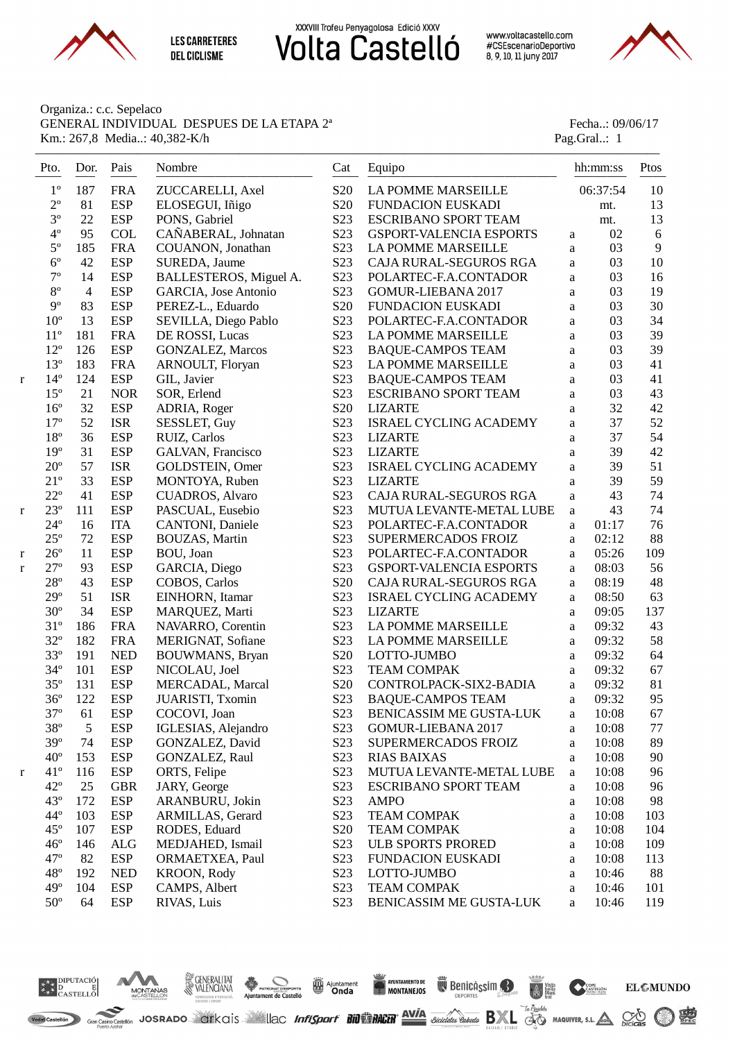

**Volta Castello** 

www.voltacastello.com #CSEscenarioDeportivo 8, 9, 10, 11 juny 2017

**EL** CMUNDO

#### Organiza.: c.c. Sepelaco GENERAL INDIVIDUAL DESPUES DE LA ETAPA  $2^a$  Fecha..: 09/06/17 Km.: 267,8 Media..: 40,382-K/h Pag.Gral..: 1

|   | Pto.            | Dor.           | Pais<br>$- - - -$ | Nombre                  | Cat              | Equipo                         |              | hh:mm:ss | Ptos    |
|---|-----------------|----------------|-------------------|-------------------------|------------------|--------------------------------|--------------|----------|---------|
|   | $1^{\circ}$     | 187            | <b>FRA</b>        | ZUCCARELLI, Axel        | S <sub>20</sub>  | LA POMME MARSEILLE             |              | 06:37:54 | 10      |
|   | $2^{\circ}$     | 81             | <b>ESP</b>        | ELOSEGUI, Iñigo         | S <sub>20</sub>  | <b>FUNDACION EUSKADI</b>       |              | mt.      | 13      |
|   | $3^{\circ}$     | 22             | <b>ESP</b>        | PONS, Gabriel           | S <sub>23</sub>  | <b>ESCRIBANO SPORT TEAM</b>    |              | mt.      | 13      |
|   | $4^{\circ}$     | 95             | <b>COL</b>        | CAÑABERAL, Johnatan     | S <sub>23</sub>  | <b>GSPORT-VALENCIA ESPORTS</b> | a            | 02       | 6       |
|   | $5^{\circ}$     | 185            | <b>FRA</b>        | COUANON, Jonathan       | S <sub>23</sub>  | LA POMME MARSEILLE             | a            | 03       | 9       |
|   | $6^{\circ}$     | 42             | <b>ESP</b>        | SUREDA, Jaume           | S23              | CAJA RURAL-SEGUROS RGA         | a            | 03       | 10      |
|   | $7^{\circ}$     | 14             | <b>ESP</b>        | BALLESTEROS, Miguel A.  | S23              | POLARTEC-F.A.CONTADOR          | $\rm{a}$     | 03       | 16      |
|   | $8^{\circ}$     | $\overline{4}$ | <b>ESP</b>        | GARCIA, Jose Antonio    | S23              | GOMUR-LIEBANA 2017             | a            | 03       | 19      |
|   | $9^{\circ}$     | 83             | <b>ESP</b>        | PEREZ-L., Eduardo       | S <sub>20</sub>  | <b>FUNDACION EUSKADI</b>       | a            | 03       | 30      |
|   | $10^{\circ}$    | 13             | <b>ESP</b>        | SEVILLA, Diego Pablo    | S23              | POLARTEC-F.A.CONTADOR          | $\rm{a}$     | 03       | 34      |
|   | $11^{\circ}$    | 181            | <b>FRA</b>        | DE ROSSI, Lucas         | S23              | LA POMME MARSEILLE             | $\rm{a}$     | 03       | 39      |
|   | $12^{\circ}$    | 126            | <b>ESP</b>        | <b>GONZALEZ, Marcos</b> | S23              | <b>BAQUE-CAMPOS TEAM</b>       | a            | 03       | 39      |
|   | $13^{\circ}$    | 183            | <b>FRA</b>        | ARNOULT, Floryan        | S23              | LA POMME MARSEILLE             | a            | 03       | 41      |
| r | $14^{\circ}$    | 124            | <b>ESP</b>        | GIL, Javier             | S23              | <b>BAQUE-CAMPOS TEAM</b>       | a            | 03       | 41      |
|   | $15^{\circ}$    | 21             | <b>NOR</b>        | SOR, Erlend             | S23              | <b>ESCRIBANO SPORT TEAM</b>    | $\rm{a}$     | 03       | 43      |
|   | $16^{\circ}$    | 32             | <b>ESP</b>        | ADRIA, Roger            | S <sub>20</sub>  | <b>LIZARTE</b>                 | a            | 32       | 42      |
|   | $17^{\circ}$    | 52             | <b>ISR</b>        | SESSLET, Guy            | S23              | ISRAEL CYCLING ACADEMY         | a            | 37       | 52      |
|   | $18^{\circ}$    | 36             | <b>ESP</b>        | RUIZ, Carlos            | S <sub>23</sub>  | <b>LIZARTE</b>                 | a            | 37       | 54      |
|   | 19 <sup>°</sup> | 31             | <b>ESP</b>        | GALVAN, Francisco       | S <sub>23</sub>  | <b>LIZARTE</b>                 | a            | 39       | 42      |
|   | $20^{\circ}$    | 57             | <b>ISR</b>        | GOLDSTEIN, Omer         | S <sub>23</sub>  | ISRAEL CYCLING ACADEMY         | a            | 39       | 51      |
|   | $21^{\circ}$    | 33             | <b>ESP</b>        | MONTOYA, Ruben          | S <sub>23</sub>  | <b>LIZARTE</b>                 | a            | 39       | 59      |
|   | $22^{\circ}$    | 41             | <b>ESP</b>        | <b>CUADROS</b> , Alvaro | S <sub>23</sub>  | CAJA RURAL-SEGUROS RGA         | a            | 43       | 74      |
| r | $23^{\circ}$    | 111            | <b>ESP</b>        | PASCUAL, Eusebio        | S <sub>23</sub>  | MUTUA LEVANTE-METAL LUBE       | a            | 43       | 74      |
|   | $24^{\rm o}$    | 16             | <b>ITA</b>        | CANTONI, Daniele        | S <sub>23</sub>  | POLARTEC-F.A.CONTADOR          | $\mathbf{a}$ | 01:17    | 76      |
|   | $25^{\circ}$    | 72             | <b>ESP</b>        | BOUZAS, Martin          | S <sub>23</sub>  | SUPERMERCADOS FROIZ            | a            | 02:12    | 88      |
| r | $26^{\circ}$    | 11             | <b>ESP</b>        | BOU, Joan               | S <sub>23</sub>  | POLARTEC-F.A.CONTADOR          | a            | 05:26    | 109     |
| r | $27^{\circ}$    | 93             | <b>ESP</b>        | GARCIA, Diego           | S <sub>23</sub>  | GSPORT-VALENCIA ESPORTS        | a            | 08:03    | 56      |
|   | $28^{\circ}$    | 43             | <b>ESP</b>        | COBOS, Carlos           | S <sub>20</sub>  | CAJA RURAL-SEGUROS RGA         | a            | 08:19    | 48      |
|   | $29^{\circ}$    | 51             | <b>ISR</b>        | EINHORN, Itamar         | S <sub>23</sub>  | <b>ISRAEL CYCLING ACADEMY</b>  | $\rm{a}$     | 08:50    | 63      |
|   | $30^{\circ}$    | 34             | <b>ESP</b>        | MARQUEZ, Marti          | S <sub>23</sub>  | <b>LIZARTE</b>                 | $\rm{a}$     | 09:05    | 137     |
|   | $31^{\circ}$    | 186            | <b>FRA</b>        | NAVARRO, Corentin       | S <sub>23</sub>  | LA POMME MARSEILLE             | $\rm{a}$     | 09:32    | 43      |
|   | $32^{\circ}$    | 182            | <b>FRA</b>        | MERIGNAT, Sofiane       | S <sub>23</sub>  | LA POMME MARSEILLE             | a            | 09:32    | 58      |
|   | $33^{\circ}$    | 191            | <b>NED</b>        | BOUWMANS, Bryan         | S <sub>20</sub>  | LOTTO-JUMBO                    | a            | 09:32    | 64      |
|   | $34^{\circ}$    | 101            | <b>ESP</b>        | NICOLAU, Joel           | S <sub>23</sub>  | <b>TEAM COMPAK</b>             | $\rm{a}$     | 09:32    | 67      |
|   | $35^{\circ}$    | 131            | <b>ESP</b>        | MERCADAL, Marcal        | S <sub>20</sub>  | CONTROLPACK-SIX2-BADIA         | $\rm{a}$     | 09:32    | 81      |
|   | $36^{\circ}$    | 122            | <b>ESP</b>        | JUARISTI, Txomin        | S <sub>2</sub> 3 | <b>BAQUE-CAMPOS TEAM</b>       | a            | 09:32    | 95      |
|   | $37^{\circ}$    | 61             | <b>ESP</b>        | COCOVI, Joan            | S <sub>2</sub> 3 | BENICASSIM ME GUSTA-LUK        | a            | 10:08    | 67      |
|   | $38^{\circ}$    | 5              | <b>ESP</b>        | IGLESIAS, Alejandro     | S <sub>23</sub>  | GOMUR-LIEBANA 2017             | a            | 10:08    | $77 \,$ |
|   | 39°             | 74             | <b>ESP</b>        | GONZALEZ, David         | S23              | SUPERMERCADOS FROIZ            | a            | 10:08    | 89      |
|   | $40^{\circ}$    | 153            | <b>ESP</b>        | GONZALEZ, Raul          | S23              | <b>RIAS BAIXAS</b>             | a            | 10:08    | 90      |
| r | $41^{\circ}$    | 116            | <b>ESP</b>        | ORTS, Felipe            | S23              | MUTUA LEVANTE-METAL LUBE       | a            | 10:08    | 96      |
|   | $42^{\circ}$    | 25             | <b>GBR</b>        | JARY, George            | S23              | <b>ESCRIBANO SPORT TEAM</b>    | $\rm{a}$     | 10:08    | 96      |
|   | $43^{\circ}$    | 172            | <b>ESP</b>        | ARANBURU, Jokin         | S <sub>23</sub>  | <b>AMPO</b>                    | a            | 10:08    | 98      |
|   | $44^{\circ}$    | 103            | <b>ESP</b>        | ARMILLAS, Gerard        | S <sub>23</sub>  | <b>TEAM COMPAK</b>             | a            | 10:08    | 103     |
|   | $45^{\circ}$    | 107            | <b>ESP</b>        | RODES, Eduard           | S <sub>20</sub>  | <b>TEAM COMPAK</b>             | $\rm{a}$     | 10:08    | 104     |
|   | $46^{\circ}$    | 146            | ALG               | MEDJAHED, Ismail        | S <sub>23</sub>  | ULB SPORTS PRORED              | $\rm{a}$     | 10:08    | 109     |
|   | $47^{\circ}$    | 82             | <b>ESP</b>        | ORMAETXEA, Paul         | S <sub>23</sub>  | <b>FUNDACION EUSKADI</b>       | a            | 10:08    | 113     |
|   | $48^{\circ}$    | 192            | <b>NED</b>        | KROON, Rody             | S <sub>23</sub>  | LOTTO-JUMBO                    | $\rm{a}$     | 10:46    | 88      |
|   | $49^\circ$      | 104            | <b>ESP</b>        | CAMPS, Albert           | S <sub>23</sub>  | <b>TEAM COMPAK</b>             | $\rm{a}$     | 10:46    | 101     |
|   | $50^{\circ}$    | 64             | <b>ESP</b>        | RIVAS, Luis             | S <sub>23</sub>  | BENICASSIM ME GUSTA-LUK        | $\rm{a}$     | 10:46    | 119     |



Vedat Castellón

**Second JOSRADO CIKGIS HOC Infisport Bill PRICHT AVIA** *Bicidetes enbedd* **BXL** A MAQUIVER, S.L. AN CO CO PRICH

ent de Castelló

Ajuntament

AYUNTAMIENTO DE REDICASSIM

 $\overline{A}$  Vista<br> $\overline{M}$  bella

CASTELLON

GENERALITAT

MONTANAS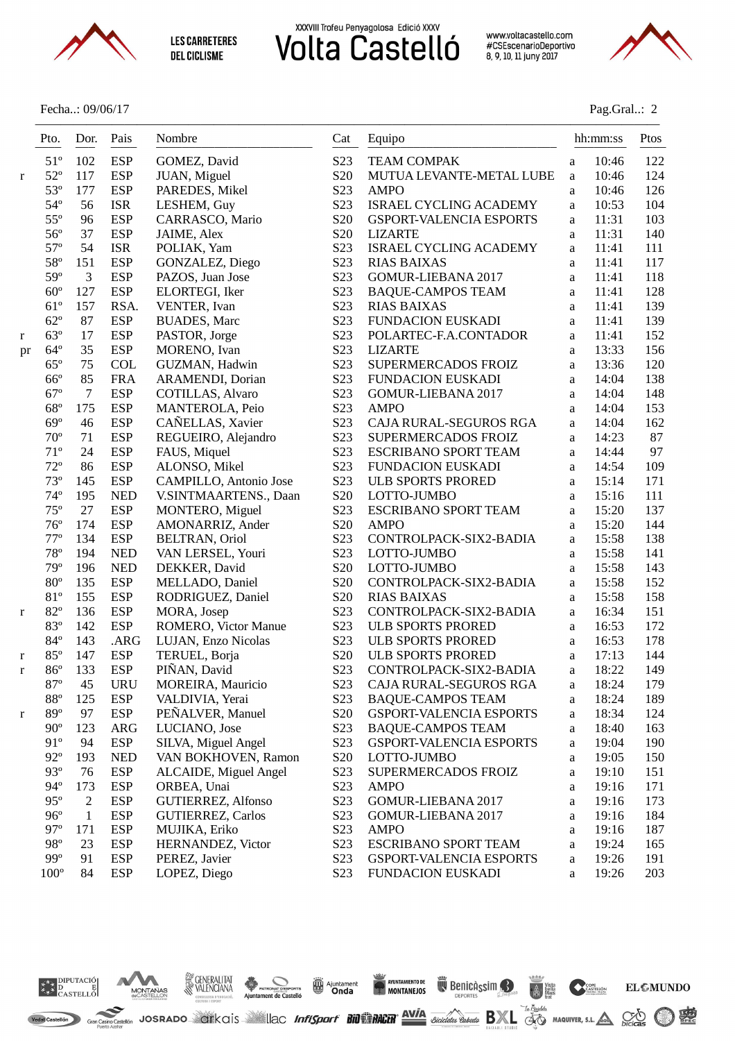

www.voltacastello.com<br>#CSEscenarioDeportivo<br>8, 9, 10, 11 juny 2017

Fecha..: 09/06/17 Pag.Gral..: 2



| Pto.               | Dor.<br>---    | Pais<br>---- | Nombre                    | Cat              | Equipo                      |          | hh:mm:ss | Ptos |
|--------------------|----------------|--------------|---------------------------|------------------|-----------------------------|----------|----------|------|
| $51^{\circ}$       | 102            | <b>ESP</b>   | GOMEZ, David              | S <sub>23</sub>  | <b>TEAM COMPAK</b>          | a        | 10:46    | 122  |
| $52^{\circ}$       | 117            | <b>ESP</b>   | JUAN, Miguel              | S <sub>20</sub>  | MUTUA LEVANTE-METAL LUBE    | a        | 10:46    | 124  |
| 53°                | 177            | <b>ESP</b>   | PAREDES, Mikel            | S23              | <b>AMPO</b>                 | a        | 10:46    | 126  |
| $54^{\circ}$       | 56             | <b>ISR</b>   | LESHEM, Guy               | S23              | ISRAEL CYCLING ACADEMY      | a        | 10:53    | 104  |
| $55^{\circ}$       | 96             | <b>ESP</b>   | CARRASCO, Mario           | S <sub>20</sub>  | GSPORT-VALENCIA ESPORTS     | a        | 11:31    | 103  |
| $56^{\circ}$       | 37             | <b>ESP</b>   | JAIME, Alex               | S <sub>20</sub>  | <b>LIZARTE</b>              | a        | 11:31    | 140  |
| $57^{\circ}$       | 54             | <b>ISR</b>   | POLIAK, Yam               | S23              | ISRAEL CYCLING ACADEMY      | a        | 11:41    | 111  |
| $58^{\circ}$       | 151            | <b>ESP</b>   | GONZALEZ, Diego           | S23              | <b>RIAS BAIXAS</b>          | a        | 11:41    | 117  |
| $59^\circ$         | 3              | <b>ESP</b>   | PAZOS, Juan Jose          | S23              | GOMUR-LIEBANA 2017          | a        | 11:41    | 118  |
| $60^{\circ}$       | 127            | <b>ESP</b>   | ELORTEGI, Iker            | S23              | <b>BAQUE-CAMPOS TEAM</b>    | a        | 11:41    | 128  |
| $61^{\circ}$       | 157            | RSA.         | VENTER, Ivan              | S23              | <b>RIAS BAIXAS</b>          | a        | 11:41    | 139  |
| $62^{\circ}$       | 87             | <b>ESP</b>   | <b>BUADES</b> , Marc      | S23              | FUNDACION EUSKADI           | a        | 11:41    | 139  |
| $63^\circ$         | 17             | <b>ESP</b>   | PASTOR, Jorge             | S23              | POLARTEC-F.A.CONTADOR       | a        | 11:41    | 152  |
| $64^{\circ}$<br>pr | 35             | <b>ESP</b>   | MORENO, Ivan              | S23              | <b>LIZARTE</b>              | a        | 13:33    | 156  |
| $65^{\circ}$       | 75             | <b>COL</b>   | GUZMAN, Hadwin            | S <sub>23</sub>  | SUPERMERCADOS FROIZ         | a        | 13:36    | 120  |
| $66^{\circ}$       | 85             | <b>FRA</b>   | ARAMENDI, Dorian          | S23              | <b>FUNDACION EUSKADI</b>    | a        | 14:04    | 138  |
| $67^\circ$         | $\overline{7}$ | <b>ESP</b>   | COTILLAS, Alvaro          | S23              | GOMUR-LIEBANA 2017          | a        | 14:04    | 148  |
| $68^{\circ}$       | 175            | <b>ESP</b>   | MANTEROLA, Peio           | S23              | <b>AMPO</b>                 | a        | 14:04    | 153  |
| $69^\circ$         | 46             | <b>ESP</b>   | CAÑELLAS, Xavier          | S23              | CAJA RURAL-SEGUROS RGA      | a        | 14:04    | 162  |
| $70^{\circ}$       | 71             | <b>ESP</b>   | REGUEIRO, Alejandro       | S <sub>2</sub> 3 | SUPERMERCADOS FROIZ         | a        | 14:23    | 87   |
| $71^{\circ}$       | 24             | <b>ESP</b>   | FAUS, Miquel              | S <sub>2</sub> 3 | ESCRIBANO SPORT TEAM        | a        | 14:44    | 97   |
| $72^{\circ}$       | 86             | <b>ESP</b>   | ALONSO, Mikel             | S <sub>2</sub> 3 | FUNDACION EUSKADI           | a        | 14:54    | 109  |
| $73^{\circ}$       | 145            | <b>ESP</b>   | CAMPILLO, Antonio Jose    | S <sub>23</sub>  | <b>ULB SPORTS PRORED</b>    | a        | 15:14    | 171  |
| $74^{\circ}$       | 195            | <b>NED</b>   | V.SINTMAARTENS., Daan     | S <sub>20</sub>  | LOTTO-JUMBO                 | a        | 15:16    | 111  |
| $75^{\circ}$       | 27             | <b>ESP</b>   | MONTERO, Miguel           | S <sub>23</sub>  | <b>ESCRIBANO SPORT TEAM</b> | a        | 15:20    | 137  |
| $76^{\circ}$       | 174            | <b>ESP</b>   | AMONARRIZ, Ander          | S <sub>20</sub>  | <b>AMPO</b>                 | a        | 15:20    | 144  |
| $77^{\circ}$       | 134            | <b>ESP</b>   | <b>BELTRAN, Oriol</b>     | S23              | CONTROLPACK-SIX2-BADIA      | a        | 15:58    | 138  |
| $78^{\circ}$       | 194            | <b>NED</b>   | VAN LERSEL, Youri         | S23              | LOTTO-JUMBO                 | a        | 15:58    | 141  |
| 79°                | 196            | <b>NED</b>   | DEKKER, David             | S <sub>20</sub>  | LOTTO-JUMBO                 | $\rm{a}$ | 15:58    | 143  |
| $80^{\circ}$       | 135            | <b>ESP</b>   | MELLADO, Daniel           | S <sub>20</sub>  | CONTROLPACK-SIX2-BADIA      | a        | 15:58    | 152  |
| 81°                | 155            | <b>ESP</b>   | RODRIGUEZ, Daniel         | S <sub>20</sub>  | <b>RIAS BAIXAS</b>          | a        | 15:58    | 158  |
| $82^{\circ}$       | 136            | <b>ESP</b>   | MORA, Josep               | S23              | CONTROLPACK-SIX2-BADIA      | a        | 16:34    | 151  |
| 83°                | 142            | <b>ESP</b>   | ROMERO, Victor Manue      | S23              | <b>ULB SPORTS PRORED</b>    | a        | 16:53    | 172  |
| $84^{\circ}$       | 143            | .ARG         | LUJAN, Enzo Nicolas       | S <sub>2</sub> 3 | <b>ULB SPORTS PRORED</b>    | a        | 16:53    | 178  |
| 85°                | 147            | <b>ESP</b>   | TERUEL, Borja             | S <sub>20</sub>  | <b>ULB SPORTS PRORED</b>    | $\rm{a}$ | 17:13    | 144  |
| $86^{\circ}$       | 133            | <b>ESP</b>   | PIÑAN, David              | S23              | CONTROLPACK-SIX2-BADIA      | a        | 18:22    | 149  |
| $87^\circ$         | 45             | <b>URU</b>   | MOREIRA, Mauricio         | S <sub>2</sub> 3 | CAJA RURAL-SEGUROS RGA      | a        | 18:24    | 179  |
| $88^{\rm o}$       | 125            | <b>ESP</b>   | VALDIVIA, Yerai           | S <sub>2</sub> 3 | <b>BAQUE-CAMPOS TEAM</b>    | a        | 18:24    | 189  |
| 89°                | 97             | <b>ESP</b>   | PEÑALVER, Manuel          | S <sub>20</sub>  | GSPORT-VALENCIA ESPORTS     | a        | 18:34    | 124  |
| $90^\circ$         | 123            | <b>ARG</b>   | LUCIANO, Jose             | S23              | <b>BAQUE-CAMPOS TEAM</b>    | a        | 18:40    | 163  |
| 91°                | 94             | <b>ESP</b>   | SILVA, Miguel Angel       | S23              | GSPORT-VALENCIA ESPORTS     | a        | 19:04    | 190  |
| $92^{\circ}$       | 193            | <b>NED</b>   | VAN BOKHOVEN, Ramon       | S <sub>20</sub>  | LOTTO-JUMBO                 | a        | 19:05    | 150  |
| 93°                | 76             | <b>ESP</b>   | ALCAIDE, Miguel Angel     | S <sub>2</sub> 3 | SUPERMERCADOS FROIZ         | a        | 19:10    | 151  |
| 94°                | 173            | <b>ESP</b>   | ORBEA, Unai               | S23              | <b>AMPO</b>                 | a        | 19:16    | 171  |
| $95^{\circ}$       | $\overline{2}$ | <b>ESP</b>   | <b>GUTIERREZ, Alfonso</b> | S23              | GOMUR-LIEBANA 2017          | a        | 19:16    | 173  |
| $96^{\circ}$       | $\mathbf{1}$   | <b>ESP</b>   | <b>GUTIERREZ, Carlos</b>  | S23              | GOMUR-LIEBANA 2017          | a        | 19:16    | 184  |
| $97^\circ$         | 171            | <b>ESP</b>   | MUJIKA, Eriko             | S23              | <b>AMPO</b>                 | a        | 19:16    | 187  |
| $98^{\circ}$       | 23             | <b>ESP</b>   | HERNANDEZ, Victor         | S <sub>2</sub> 3 | <b>ESCRIBANO SPORT TEAM</b> | $\rm{a}$ | 19:24    | 165  |
| $99^\circ$         | 91             | <b>ESP</b>   | PEREZ, Javier             | S23              | GSPORT-VALENCIA ESPORTS     | a        | 19:26    | 191  |
|                    |                |              |                           |                  |                             |          |          |      |



Vedat Castellón



PATRONAT D'ESPORTS<br>Ajuntament de Castelló

Ajuntament

GENERALITAT

MONTANAS

NOUNTAINENTODE NO BENICLÀSSIM DE CONTENUES DE L'EMUNDO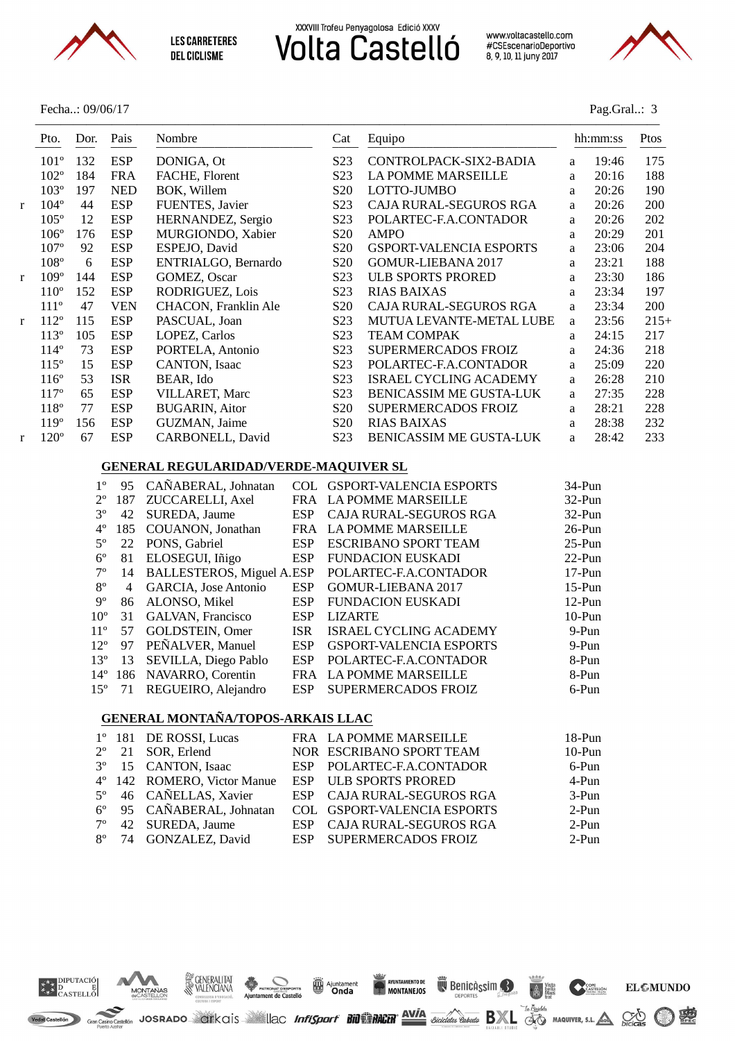

www.voltacastello.com<br>#CSEscenarioDeportivo<br>8, 9, 10, 11 juny 2017

Fecha..: 09/06/17 Pag.Gral..: 3



| Pto.             | Dor. | Pais       | Nombre                | Cat              | Equipo                         | hh:mm:ss |       | Ptos   |
|------------------|------|------------|-----------------------|------------------|--------------------------------|----------|-------|--------|
| $101^{\circ}$    | 132  | <b>ESP</b> | DONIGA, Ot            | S23              | CONTROLPACK-SIX2-BADIA         | a        | 19:46 | 175    |
| $102^{\circ}$    | 184  | <b>FRA</b> | FACHE, Florent        | S <sub>2</sub> 3 | <b>LA POMME MARSEILLE</b>      | a        | 20:16 | 188    |
| $103^{\circ}$    | 197  | <b>NED</b> | BOK, Willem           | S <sub>20</sub>  | LOTTO-JUMBO                    | a        | 20:26 | 190    |
| $104^{\circ}$    | 44   | <b>ESP</b> | FUENTES, Javier       | S <sub>2</sub> 3 | CAJA RURAL-SEGUROS RGA         | a        | 20:26 | 200    |
| $105^\circ$      | 12   | <b>ESP</b> | HERNANDEZ, Sergio     | S <sub>2</sub> 3 | POLARTEC-F.A.CONTADOR          | a        | 20:26 | 202    |
| $106^\circ$      | 176  | <b>ESP</b> | MURGIONDO, Xabier     | S <sub>20</sub>  | <b>AMPO</b>                    | a        | 20:29 | 201    |
| $107^{\circ}$    | 92   | <b>ESP</b> | ESPEJO, David         | S <sub>20</sub>  | <b>GSPORT-VALENCIA ESPORTS</b> | a        | 23:06 | 204    |
| 108°             | 6    | <b>ESP</b> | ENTRIALGO, Bernardo   | S <sub>20</sub>  | <b>GOMUR-LIEBANA 2017</b>      | a        | 23:21 | 188    |
| 109°             | 144  | <b>ESP</b> | GOMEZ, Oscar          | S <sub>23</sub>  | <b>ULB SPORTS PRORED</b>       | a        | 23:30 | 186    |
| $110^{\circ}$    | 152  | <b>ESP</b> | RODRIGUEZ, Lois       | S <sub>2</sub> 3 | <b>RIAS BAIXAS</b>             | a        | 23:34 | 197    |
| $111^{\circ}$    | 47   | <b>VEN</b> | CHACON, Franklin Ale  | S <sub>20</sub>  | <b>CAJA RURAL-SEGUROS RGA</b>  | a        | 23:34 | 200    |
| $112^{\circ}$    | 115  | <b>ESP</b> | PASCUAL, Joan         | S <sub>2</sub> 3 | MUTUA LEVANTE-METAL LUBE       | a        | 23:56 | $215+$ |
| $113^\circ$      | 105  | <b>ESP</b> | LOPEZ, Carlos         | S <sub>2</sub> 3 | <b>TEAM COMPAK</b>             | a        | 24:15 | 217    |
| $114^{\circ}$    | 73   | <b>ESP</b> | PORTELA, Antonio      | S <sub>2</sub> 3 | SUPERMERCADOS FROIZ            | a        | 24:36 | 218    |
| $115^\circ$      | 15   | <b>ESP</b> | CANTON, Isaac         | S <sub>2</sub> 3 | POLARTEC-F.A.CONTADOR          | a        | 25:09 | 220    |
| $116^\circ$      | 53   | <b>ISR</b> | BEAR, Ido             | S <sub>2</sub> 3 | <b>ISRAEL CYCLING ACADEMY</b>  | a        | 26:28 | 210    |
| 117 <sup>°</sup> | 65   | <b>ESP</b> | <b>VILLARET, Marc</b> | S <sub>2</sub> 3 | <b>BENICASSIM ME GUSTA-LUK</b> | a        | 27:35 | 228    |
| 118°             | 77   | <b>ESP</b> | <b>BUGARIN, Aitor</b> | S <sub>20</sub>  | SUPERMERCADOS FROIZ            | a        | 28:21 | 228    |
| $119^\circ$      | 156  | <b>ESP</b> | GUZMAN, Jaime         | S <sub>20</sub>  | <b>RIAS BAIXAS</b>             | a        | 28:38 | 232    |
| $120^{\circ}$    | 67   | <b>ESP</b> | CARBONELL, David      | S23              | <b>BENICASSIM ME GUSTA-LUK</b> | a        | 28:42 | 233    |
|                  |      |            |                       |                  |                                |          |       |        |

#### **GENERAL REGULARIDAD/VERDE-MAQUIVER SL**

| $1^{\circ}$     | 95  | CAÑABERAL, Johnatan         | COL.       | <b>GSPORT-VALENCIA ESPORTS</b> | $34-Pun$  |
|-----------------|-----|-----------------------------|------------|--------------------------------|-----------|
| $2^{\circ}$     | 187 | <b>ZUCCARELLI, Axel</b>     | <b>FRA</b> | <b>LA POMME MARSEILLE</b>      | $32-Pun$  |
| $3^{\circ}$     | 42  | SUREDA, Jaume               | <b>ESP</b> | CAJA RURAL-SEGUROS RGA         | $32-Pun$  |
| $4^{\circ}$     | 185 | COUANON, Jonathan           | <b>FRA</b> | LA POMME MARSEILLE             | $26$ -Pun |
| $5^\circ$       | 22  | PONS, Gabriel               | <b>ESP</b> | <b>ESCRIBANO SPORT TEAM</b>    | $25-Pun$  |
| $6^{\circ}$     | 81  | ELOSEGUI, Iñigo             | <b>ESP</b> | <b>FUNDACION EUSKADI</b>       | $22-Pun$  |
| $7^{\circ}$     | 14  | BALLESTEROS, Miguel A.ESP   |            | POLARTEC-F.A.CONTADOR          | $17-Pun$  |
| $8^{\circ}$     | 4   | <b>GARCIA, Jose Antonio</b> | <b>ESP</b> | <b>GOMUR-LIEBANA 2017</b>      | $15-Pun$  |
| $9^{\circ}$     | 86  | ALONSO, Mikel               | <b>ESP</b> | FUNDACION EUSKADI              | $12-Pun$  |
| 10 <sup>o</sup> | 31  | GALVAN, Francisco           | <b>ESP</b> | <b>LIZARTE</b>                 | $10-Pun$  |
| $11^{\circ}$    | 57  | GOLDSTEIN, Omer             | <b>ISR</b> | <b>ISRAEL CYCLING ACADEMY</b>  | $9-Pun$   |
| 12 <sup>o</sup> | 97  | PEÑALVER, Manuel            | <b>ESP</b> | <b>GSPORT-VALENCIA ESPORTS</b> | 9-Pun     |
| 13 <sup>o</sup> | 13  | SEVILLA, Diego Pablo        | <b>ESP</b> | POLARTEC-F.A.CONTADOR          | 8-Pun     |
| $14^{\circ}$    | 186 | NAVARRO, Corentin           | <b>FRA</b> | <b>LA POMME MARSEILLE</b>      | 8-Pun     |
| $15^{\circ}$    | 71  | REGUEIRO, Alejandro         | <b>ESP</b> | <b>SUPERMERCADOS FROIZ</b>     | $6-Pun$   |
|                 |     |                             |            |                                |           |

#### **GENERAL MONTAÑA/TOPOS-ARKAIS LLAC**

GENERALITAT

MONTANAS

**ANGELIA DESPORTS**<br>Ajuntament de Castelló

|  | 1° 181 DE ROSSI, Lucas          | FRA LA POMME MARSEILLE      | $18-Pun$  |
|--|---------------------------------|-----------------------------|-----------|
|  | $2^{\circ}$ 21 SOR, Erlend      | NOR ESCRIBANO SPORT TEAM    | $10-P$ un |
|  | 3 <sup>°</sup> 15 CANTON, Isaac | ESP POLARTEC-F.A.CONTADOR   | 6-Pun     |
|  | 4° 142 ROMERO, Victor Manue     | ESP ULB SPORTS PRORED       | 4-Pun     |
|  | 5° 46 CAÑELLAS, Xavier          | ESP CAJA RURAL-SEGUROS RGA  | $3-Pun$   |
|  | 6° 95 CAÑABERAL, Johnatan       | COL GSPORT-VALENCIA ESPORTS | $2-Pun$   |
|  | $7^{\circ}$ 42 SUREDA, Jaume    | ESP CAJA RURAL-SEGUROS RGA  | $2-Pun$   |
|  | 8° 74 GONZALEZ, David           | ESP SUPERMERCADOS FROIZ     | $2-Pun$   |
|  |                                 |                             |           |

**THE AUDIT OF AUDIT AUDIT AUDIT AUDIT AUDIT AUDIT DESCRIPTION OF SCRIPTION CONTRACTOR DEL SOMUNDO** 



Vedat Castellón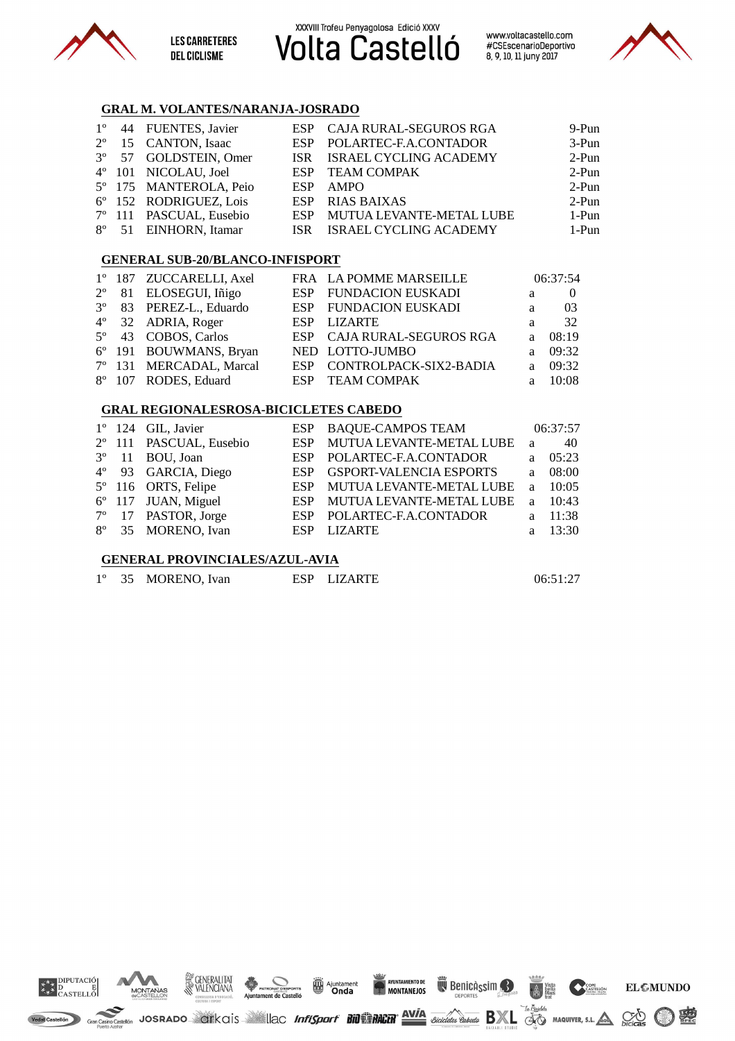

www.voltacastello.com #CSEscenarioDeportivo<br>8, 9, 10, 11 juny 2017



#### **GRAL M. VOLANTES/NARANJA-JOSRADO**

|  | 1° 44 FUENTES, Javier   | ESP CAJA RURAL-SEGUROS RGA   | 9-Pun   |
|--|-------------------------|------------------------------|---------|
|  | 2° 15 CANTON, Isaac     | ESP POLARTEC-F.A.CONTADOR    | $3-Pun$ |
|  | 3° 57 GOLDSTEIN, Omer   | ISR ISRAEL CYCLING ACADEMY   | $2-Pun$ |
|  | 4° 101 NICOLAU, Joel    | ESP TEAM COMPAK              | $2-Pun$ |
|  | 5° 175 MANTEROLA, Peio  | ESP AMPO                     | $2-Pun$ |
|  | 6° 152 RODRIGUEZ, Lois  | ESP RIAS BAIXAS              | $2-Pun$ |
|  | 7º 111 PASCUAL, Eusebio | ESP MUTUA LEVANTE-METAL LUBE | 1-Pun   |
|  | 8° 51 EINHORN, Itamar   | ISR ISRAEL CYCLING ACADEMY   | 1-Pun   |

#### **GENERAL SUB-20/BLANCO-INFISPORT**

|  | 1º 187 ZUCCARELLI, Axel        | FRA LA POMME MARSEILLE     |              | 06:37:54  |
|--|--------------------------------|----------------------------|--------------|-----------|
|  | $2^{\circ}$ 81 ELOSEGUI, Iñigo | ESP FUNDACION EUSKADI      | a            | $\theta$  |
|  | 3° 83 PEREZ-L., Eduardo        | ESP FUNDACION EUSKADI      | a            | - 03      |
|  | 4° 32 ADRIA, Roger             | ESP LIZARTE                | a            | 32        |
|  | 5° 43 COBOS, Carlos            | ESP CAJA RURAL-SEGUROS RGA | $\mathbf{a}$ | 08:19     |
|  | 6° 191 BOUWMANS, Bryan         | NED LOTTO-JUMBO            |              | a $09:32$ |
|  | 7º 131 MERCADAL, Marcal        | ESP CONTROLPACK-SIX2-BADIA |              | a $09:32$ |
|  | 8° 107 RODES, Eduard           | ESP TEAM COMPAK            | $\mathbf{a}$ | 10:08     |

#### **GRAL REGIONALESROSA-BICICLETES CABEDO**

|  | $1^{\circ}$ 124 GIL, Javier  | ESP BAQUE-CAMPOS TEAM        |              | 06:37:57  |
|--|------------------------------|------------------------------|--------------|-----------|
|  | 2º 111 PASCUAL, Eusebio      | ESP MUTUA LEVANTE-METAL LUBE | $\mathbf{a}$ | 40        |
|  | $3^{\circ}$ 11 BOU, Joan     | ESP POLARTEC-F.A.CONTADOR    |              | a $05:23$ |
|  | 4° 93 GARCIA, Diego          | ESP GSPORT-VALENCIA ESPORTS  | $\mathbf{a}$ | 08:00     |
|  | 5° 116 ORTS, Felipe          | ESP MUTUA LEVANTE-METAL LUBE | $\mathbf{a}$ | 10:05     |
|  | $6^{\circ}$ 117 JUAN, Miguel | ESP MUTUA LEVANTE-METAL LUBE | $\mathbf{a}$ | 10:43     |
|  | 7° 17 PASTOR, Jorge          | ESP POLARTEC-F.A.CONTADOR    |              | a 11:38   |
|  | 8° 35 MORENO, Ivan           | ESP LIZARTE                  |              | a 13:30   |
|  |                              |                              |              |           |

#### **GENERAL PROVINCIALES/AZUL-AVIA**

|  | 1° 35 MORENO, Ivan | ESP LIZARTE | 06:51:27 |
|--|--------------------|-------------|----------|
|  |                    |             |          |

**SENERALITAT SURVEYORD SENERALITAT SURVEYORD SENERALITAT SURVEYORD SURVEYORD SURVEYORD SURVEYORD SURVEYORD SURVEYORD SURVEYORD SURVEYORD SURVEYORD SURVEYORD SURVEYORD SURVEYORD SURVEYORD SURVEYORD SURVEYORD SURVEYORD SURVE** 



**MONTAÑAS**<br>deCASTELLON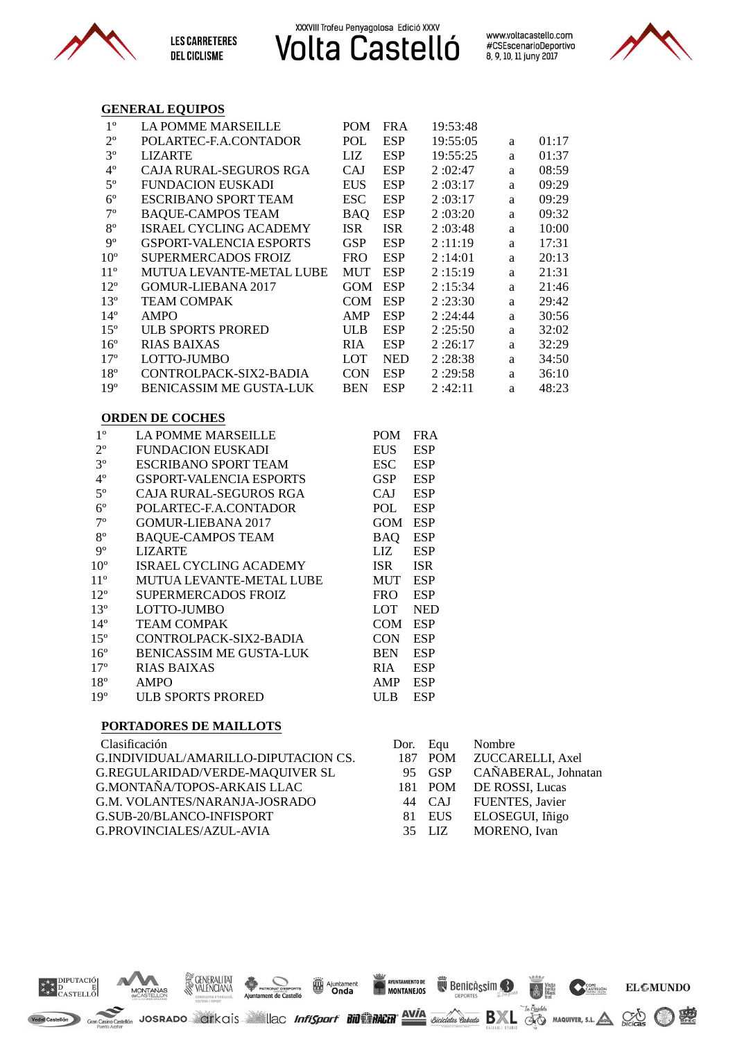

www.voltacastello.com<br>#CSEscenarioDeportivo 8, 9, 10, 11 juny 2017



#### **GENERAL EQUIPOS**

| $1^{\circ}$     | <b>LA POMME MARSEILLE</b>      | <b>POM</b> | <b>FRA</b> | 19:53:48   |   |       |
|-----------------|--------------------------------|------------|------------|------------|---|-------|
| $2^{\circ}$     | POLARTEC-F.A.CONTADOR          | POL        | <b>ESP</b> | 19:55:05   | a | 01:17 |
| $3^{\circ}$     | <b>LIZARTE</b>                 | LIZ        | <b>ESP</b> | 19:55:25   | a | 01:37 |
| $4^{\rm o}$     | CAJA RURAL-SEGUROS RGA         | CAJ        | <b>ESP</b> | 2:02:47    | a | 08:59 |
| $5^{\circ}$     | <b>FUNDACION EUSKADI</b>       | <b>EUS</b> | <b>ESP</b> | 2:03:17    | a | 09:29 |
| $6^{\circ}$     | <b>ESCRIBANO SPORT TEAM</b>    | <b>ESC</b> | <b>ESP</b> | 2:03:17    | a | 09:29 |
| $7^{\circ}$     | <b>BAQUE-CAMPOS TEAM</b>       | <b>BAQ</b> | <b>ESP</b> | 2:03:20    | a | 09:32 |
| $8^{\rm o}$     | ISRAEL CYCLING ACADEMY         | <b>ISR</b> | <b>ISR</b> | 2:03:48    | a | 10:00 |
| $9^{\circ}$     | <b>GSPORT-VALENCIA ESPORTS</b> | <b>GSP</b> | <b>ESP</b> | 2:11:19    | a | 17:31 |
| $10^{\circ}$    | SUPERMERCADOS FROIZ            | <b>FRO</b> | <b>ESP</b> | 2:14:01    | a | 20:13 |
| $11^{\circ}$    | MUTUA LEVANTE-METAL LUBE       | MUT        | <b>ESP</b> | 2:15:19    | a | 21:31 |
| $12^{\circ}$    | <b>GOMUR-LIEBANA 2017</b>      | GOM        | <b>ESP</b> | 2:15:34    | a | 21:46 |
| $13^{\circ}$    | <b>TEAM COMPAK</b>             | <b>COM</b> | <b>ESP</b> | 2:23:30    | a | 29:42 |
| $14^{\circ}$    | <b>AMPO</b>                    | AMP        | <b>ESP</b> | 2:24:44    | a | 30:56 |
| $15^{\circ}$    | <b>ULB SPORTS PRORED</b>       | <b>ULB</b> | <b>ESP</b> | 2:25:50    | a | 32:02 |
| $16^{\circ}$    | <b>RIAS BAIXAS</b>             | <b>RIA</b> | <b>ESP</b> | 2:26:17    | a | 32:29 |
| $17^{\circ}$    | LOTTO-JUMBO                    | LOT        | <b>NED</b> | 2:28:38    | a | 34:50 |
| $18^{\circ}$    | CONTROLPACK-SIX2-BADIA         | <b>CON</b> | <b>ESP</b> | 2:29:58    | a | 36:10 |
| 19 <sup>°</sup> | BENICASSIM ME GUSTA-LUK        | <b>BEN</b> | <b>ESP</b> | 2:42:11    | a | 48:23 |
|                 | <b>ORDEN DE COCHES</b>         |            |            |            |   |       |
| $1^{\circ}$     | <b>LA POMME MARSEILLE</b>      |            | <b>POM</b> | <b>FRA</b> |   |       |
| $2^{\circ}$     | <b>FUNDACION EUSKADI</b>       |            | <b>EUS</b> | <b>ESP</b> |   |       |
| $3^{\circ}$     | <b>ESCRIBANO SPORT TEAM</b>    |            | <b>ESC</b> | <b>ESP</b> |   |       |
| $4^{\rm o}$     | <b>GSPORT-VALENCIA ESPORTS</b> |            | <b>GSP</b> | <b>ESP</b> |   |       |
| $5^{\circ}$     | CAJA RURAL-SEGUROS RGA         |            | CAJ        | <b>ESP</b> |   |       |
| $6^{\rm o}$     | POLARTEC-F.A.CONTADOR          |            | POL        | <b>ESP</b> |   |       |
| $7^{\circ}$     | GOMUR-LIEBANA 2017             |            | GOM ESP    |            |   |       |
| $8^{\rm o}$     | <b>BAQUE-CAMPOS TEAM</b>       |            | <b>BAQ</b> | <b>ESP</b> |   |       |
| $9^{\circ}$     | <b>LIZARTE</b>                 |            | LIZ        | <b>ESP</b> |   |       |
| $10^{\circ}$    | ISRAEL CYCLING ACADEMY         |            | <b>ISR</b> | <b>ISR</b> |   |       |
| $11^{\circ}$    | MUTUA LEVANTE-METAL LUBE       |            | <b>MUT</b> | <b>ESP</b> |   |       |
| $12^{\circ}$    | SUPERMERCADOS FROIZ            |            | <b>FRO</b> | <b>ESP</b> |   |       |
| $13^{\circ}$    | LOTTO-JUMBO                    |            | <b>LOT</b> | <b>NED</b> |   |       |
| $14^{\circ}$    | <b>TEAM COMPAK</b>             |            | COM ESP    |            |   |       |
| $15^{\circ}$    | CONTROLPACK-SIX2-BADIA         |            | <b>CON</b> | <b>ESP</b> |   |       |
| $16^{\circ}$    | <b>BENICASSIM ME GUSTA-LUK</b> |            | <b>BEN</b> | <b>ESP</b> |   |       |
| $17^{\circ}$    | <b>RIAS BAIXAS</b>             |            | <b>RIA</b> | <b>ESP</b> |   |       |
| $18^{\circ}$    | <b>AMPO</b>                    |            | AMP        | <b>ESP</b> |   |       |
| $19^{\circ}$    | <b>ULB SPORTS PRORED</b>       |            | <b>ULB</b> | <b>ESP</b> |   |       |
|                 |                                |            |            |            |   |       |

#### **PORTADORES DE MAILLOTS**

GENERALITAT

MONTANAS

| Clasificación                        | Dor. Equ | Nombre                     |
|--------------------------------------|----------|----------------------------|
| G.INDIVIDUAL/AMARILLO-DIPUTACION CS. |          | 187 POM ZUCCARELLI, Axel   |
| G.REGULARIDAD/VERDE-MAQUIVER SL      |          | 95 GSP CAÑABERAL, Johnatan |
| <b>G.MONTAÑA/TOPOS-ARKAIS LLAC</b>   |          | 181 POM DE ROSSI, Lucas    |
| G.M. VOLANTES/NARANJA-JOSRADO        |          | 44 CAJ FUENTES, Javier     |
| G.SUB-20/BLANCO-INFISPORT            |          | 81 EUS ELOSEGUI, Iñigo     |
| G.PROVINCIALES/AZUL-AVIA             |          | 35 LIZ MORENO, Ivan        |



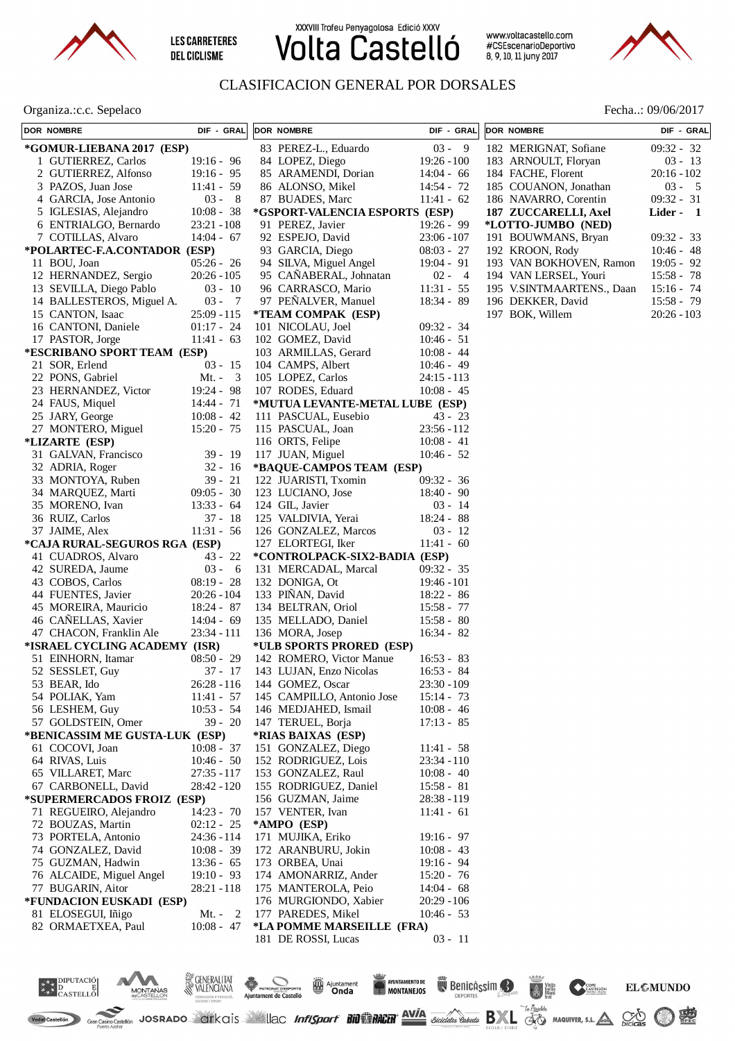





www.voltacastello.com #CSEscenarioDeportivo<br>8, 9, 10, 11 juny 2017

NONTAMENTO DE RECEIVED DE DESCRIPTION DE CASTRUCIA

**EL** CMUNDO



### CLASIFICACION GENERAL POR DORSALES

#### Organiza.:c.c. Sepelaco Fecha..: 09/06/2017

 $\begin{bmatrix} \hat{\xi}^{\hat{n}} \\ \hat{\xi}^{\hat{n}} \\ \end{bmatrix} \begin{bmatrix} \text{DIPUTACI0} \\ \text{D} \\ \text{CASTELLO} \end{bmatrix}$ 

Vedat Castellón

GENERALITAT

MONTANAS

Ajuntament

Gran Castellón JOSRADO **All** Kais and **Castellón** Joseph Control Control Control Control Control Control Control Control Control Control Control Control Control Control Control Control Control Control Control Control Contr

**PATRONAT D'ESPORTS<br>Ment de Castelló** 

| DOR NOMBRE                                      | DIF - GRAL                       | <b>DOR NOMBRE</b>                                |                              | DIF - GRAL | <b>DOR NOMBRE</b>                                  |                              | DIF GRAL  |
|-------------------------------------------------|----------------------------------|--------------------------------------------------|------------------------------|------------|----------------------------------------------------|------------------------------|-----------|
| *GOMUR-LIEBANA 2017 (ESP)                       |                                  | 83 PEREZ-L., Eduardo                             |                              | $03 - 9$   | 182 MERIGNAT, Sofiane                              | $09:32 - 32$                 |           |
| 1 GUTIERREZ, Carlos                             | $19:16 - 96$                     | 84 LOPEZ, Diego                                  | $19:26 - 100$                |            | 183 ARNOULT, Floryan                               |                              | $03 - 13$ |
| 2 GUTIERREZ, Alfonso                            | $19:16 - 95$                     | 85 ARAMENDI, Dorian                              | $14:04 - 66$                 |            | 184 FACHE, Florent                                 | 20:16 - 102                  |           |
| 3 PAZOS, Juan Jose                              | $11:41 - 59$                     | 86 ALONSO, Mikel                                 | 14:54 - 72                   |            | 185 COUANON, Jonathan                              |                              | $03 - 5$  |
| 4 GARCIA, Jose Antonio                          | $03 -$<br>- 8                    | 87 BUADES, Marc                                  | $11:41 - 62$                 |            | 186 NAVARRO, Corentin                              | $09:32 - 31$                 |           |
| 5 IGLESIAS, Alejandro                           | $10:08 - 38$                     | *GSPORT-VALENCIA ESPORTS (ESP)                   |                              |            | 187 ZUCCARELLI, Axel                               | Lider - 1                    |           |
| 6 ENTRIALGO, Bernardo                           | $23:21 - 108$                    | 91 PEREZ, Javier                                 | $19:26 - 99$                 |            | *LOTTO-JUMBO (NED)                                 |                              |           |
| 7 COTILLAS, Alvaro                              | $14:04 - 67$                     | 92 ESPEJO, David                                 | $23:06 - 107$                |            | 191 BOUWMANS, Bryan                                | $09:32 - 33$                 |           |
| *POLARTEC-F.A.CONTADOR (ESP)                    |                                  | 93 GARCIA, Diego                                 | $08:03 - 27$                 |            | 192 KROON, Rody                                    | $10:46 - 48$                 |           |
| 11 BOU, Joan                                    | $05:26 - 26$                     | 94 SILVA, Miguel Angel<br>95 CAÑABERAL, Johnatan | $19:04 - 91$                 |            | 193 VAN BOKHOVEN, Ramon                            | $19:05 - 92$                 |           |
| 12 HERNANDEZ, Sergio<br>13 SEVILLA, Diego Pablo | 20:26 - 105<br>$03 - 10$         | 96 CARRASCO, Mario                               | $11:31 - 55$                 | $02 - 4$   | 194 VAN LERSEL, Youri<br>195 V.SINTMAARTENS., Daan | $15:58 - 78$<br>$15:16 - 74$ |           |
| 14 BALLESTEROS, Miguel A.                       | $03 -$<br>$\overline{7}$         | 97 PENALVER, Manuel                              | $18:34 - 89$                 |            | 196 DEKKER, David                                  | $15:58 - 79$                 |           |
| 15 CANTON, Isaac                                | $25:09 - 115$                    | *TEAM COMPAK (ESP)                               |                              |            | 197 BOK, Willem                                    | $20:26 - 103$                |           |
| 16 CANTONI, Daniele                             | $01:17 - 24$                     | 101 NICOLAU, Joel                                | 09:32 - 34                   |            |                                                    |                              |           |
| 17 PASTOR, Jorge                                | $11:41 - 63$                     | 102 GOMEZ, David                                 | $10:46 - 51$                 |            |                                                    |                              |           |
| *ESCRIBANO SPORT TEAM (ESP)                     |                                  | 103 ARMILLAS, Gerard                             | $10:08 - 44$                 |            |                                                    |                              |           |
| 21 SOR, Erlend                                  | $03 - 15$                        | 104 CAMPS, Albert                                | $10:46 - 49$                 |            |                                                    |                              |           |
| 22 PONS, Gabriel                                | Mt. -<br>$\overline{\mathbf{3}}$ | 105 LOPEZ, Carlos                                | 24:15 - 113                  |            |                                                    |                              |           |
| 23 HERNANDEZ, Victor                            | $19:24 - 98$                     | 107 RODES, Eduard                                | $10:08 - 45$                 |            |                                                    |                              |           |
| 24 FAUS, Miquel                                 | $14:44 - 71$                     | *MUTUA LEVANTE-METAL LUBE (ESP)                  |                              |            |                                                    |                              |           |
| 25 JARY, George                                 | $10:08 - 42$                     | 111 PASCUAL, Eusebio                             |                              | $43 - 23$  |                                                    |                              |           |
| 27 MONTERO, Miguel                              | $15:20 - 75$                     | 115 PASCUAL, Joan                                | $23:56 - 112$                |            |                                                    |                              |           |
| *LIZARTE (ESP)<br>31 GALVAN, Francisco          | $39 - 19$                        | 116 ORTS, Felipe<br>117 JUAN, Miguel             | $10:08 - 41$<br>$10:46 - 52$ |            |                                                    |                              |           |
| 32 ADRIA, Roger                                 | $32 - 16$                        | *BAQUE-CAMPOS TEAM (ESP)                         |                              |            |                                                    |                              |           |
| 33 MONTOYA, Ruben                               | $39 - 21$                        | 122 JUARISTI, Txomin                             | $09:32 - 36$                 |            |                                                    |                              |           |
| 34 MARQUEZ, Marti                               | $09:05 - 30$                     | 123 LUCIANO, Jose                                | $18:40 - 90$                 |            |                                                    |                              |           |
| 35 MORENO, Ivan                                 | $13:33 - 64$                     | 124 GIL, Javier                                  |                              | $03 - 14$  |                                                    |                              |           |
| 36 RUIZ, Carlos                                 | $37 - 18$                        | 125 VALDIVIA, Yerai                              | $18:24 - 88$                 |            |                                                    |                              |           |
| 37 JAIME, Alex                                  | $11:31 - 56$                     | 126 GONZALEZ, Marcos                             |                              | $03 - 12$  |                                                    |                              |           |
| *CAJA RURAL-SEGUROS RGA (ESP)                   |                                  | 127 ELORTEGI, Iker                               | $11:41 - 60$                 |            |                                                    |                              |           |
| 41 CUADROS, Alvaro                              | $43 - 22$                        | *CONTROLPACK-SIX2-BADIA (ESP)                    |                              |            |                                                    |                              |           |
| 42 SUREDA, Jaume                                | $03 -$<br>- 6<br>$08:19 - 28$    | 131 MERCADAL, Marcal<br>132 DONIGA, Ot           | $09:32 - 35$                 |            |                                                    |                              |           |
| 43 COBOS, Carlos<br>44 FUENTES, Javier          | 20:26 - 104                      | 133 PINAN, David                                 | 19:46 - 101<br>$18:22 - 86$  |            |                                                    |                              |           |
| 45 MOREIRA, Mauricio                            | $18:24 - 87$                     | 134 BELTRAN, Oriol                               | $15:58 - 77$                 |            |                                                    |                              |           |
| 46 CAÑELLAS, Xavier                             | $14:04 - 69$                     | 135 MELLADO, Daniel                              | $15:58 - 80$                 |            |                                                    |                              |           |
| 47 CHACON, Franklin Ale                         | $23:34 - 111$                    | 136 MORA, Josep                                  | $16:34 - 82$                 |            |                                                    |                              |           |
| *ISRAEL CYCLING ACADEMY (ISR)                   |                                  | *ULB SPORTS PRORED (ESP)                         |                              |            |                                                    |                              |           |
| 51 EINHORN, Itamar                              | $08:50 - 29$                     | 142 ROMERO, Victor Manue                         | $16:53 - 83$                 |            |                                                    |                              |           |
| 52 SESSLET, Guy                                 |                                  | 37 - 17 143 LUJAN, Enzo Nicolas                  | $16:53 - 84$                 |            |                                                    |                              |           |
| 53 BEAR, Ido                                    | 26:28 - 116                      | 144 GOMEZ, Oscar                                 | $23:30 - 109$                |            |                                                    |                              |           |
| 54 POLIAK, Yam                                  | $11:41 - 57$                     | 145 CAMPILLO, Antonio Jose                       | $15:14 - 73$                 |            |                                                    |                              |           |
| 56 LESHEM, Guy<br>57 GOLDSTEIN, Omer            | $10:53 - 54$<br>$39 - 20$        | 146 MEDJAHED, Ismail                             | $10:08 - 46$                 |            |                                                    |                              |           |
| *BENICASSIM ME GUSTA-LUK (ESP)                  |                                  | 147 TERUEL, Borja<br>*RIAS BAIXAS (ESP)          | $17:13 - 85$                 |            |                                                    |                              |           |
| 61 COCOVI, Joan                                 | $10:08 - 37$                     | 151 GONZALEZ, Diego                              | $11:41 - 58$                 |            |                                                    |                              |           |
| 64 RIVAS, Luis                                  | $10:46 - 50$                     | 152 RODRIGUEZ, Lois                              | $23:34 - 110$                |            |                                                    |                              |           |
| 65 VILLARET, Marc                               | $27:35 - 117$                    | 153 GONZALEZ, Raul                               | $10:08 - 40$                 |            |                                                    |                              |           |
| 67 CARBONELL, David                             | 28:42 - 120                      | 155 RODRIGUEZ, Daniel                            | $15:58 - 81$                 |            |                                                    |                              |           |
| *SUPERMERCADOS FROIZ (ESP)                      |                                  | 156 GUZMAN, Jaime                                | 28:38 - 119                  |            |                                                    |                              |           |
| 71 REGUEIRO, Alejandro                          | 14:23 - 70                       | 157 VENTER, Ivan                                 | $11:41 - 61$                 |            |                                                    |                              |           |
| 72 BOUZAS, Martin                               | $02:12 - 25$                     | *AMPO (ESP)                                      |                              |            |                                                    |                              |           |
| 73 PORTELA, Antonio                             | $24:36 - 114$                    | 171 MUJIKA, Eriko                                | $19:16 - 97$                 |            |                                                    |                              |           |
| 74 GONZALEZ, David                              | $10:08 - 39$                     | 172 ARANBURU, Jokin                              | $10:08 - 43$                 |            |                                                    |                              |           |
| 75 GUZMAN, Hadwin                               | $13:36 - 65$                     | 173 ORBEA, Unai                                  | $19:16 - 94$                 |            |                                                    |                              |           |
| 76 ALCAIDE, Miguel Angel                        | $19:10 - 93$                     | 174 AMONARRIZ, Ander<br>175 MANTEROLA, Peio      | $15:20 - 76$<br>$14:04 - 68$ |            |                                                    |                              |           |
| 77 BUGARIN, Aitor<br>*FUNDACION EUSKADI (ESP)   | 28:21 - 118                      | 176 MURGIONDO, Xabier                            | $20:29 - 106$                |            |                                                    |                              |           |
| 81 ELOSEGUI, Iñigo                              | $Mt. - 2$                        | 177 PAREDES, Mikel                               | $10:46 - 53$                 |            |                                                    |                              |           |
| 82 ORMAETXEA, Paul                              | $10:08 - 47$                     | *LA POMME MARSEILLE (FRA)                        |                              |            |                                                    |                              |           |
|                                                 |                                  | 181 DE ROSSI, Lucas                              |                              | $03 - 11$  |                                                    |                              |           |
|                                                 |                                  |                                                  |                              |            |                                                    |                              |           |

| <b>DOR NOMBRE</b>         | DIF - GRAL    |
|---------------------------|---------------|
| 182 MERIGNAT, Sofiane     | 09:32 - 32    |
| 183 ARNOULT, Floryan      | $03 - 13$     |
| 184 FACHE, Florent        | $20:16 - 102$ |
| 185 COUANON, Jonathan     | $03 - 5$      |
| 186 NAVARRO, Corentin     | $09:32 - 31$  |
| 187 ZUCCARELLI, Axel      | Lider - 1     |
| *LOTTO-JUMBO (NED)        |               |
| 191 BOUWMANS, Bryan       | 09:32 - 33    |
| 192 KROON, Rody           | $10:46 - 48$  |
| 193 VAN BOKHOVEN, Ramon   | $19:05 - 92$  |
| 194 VAN LERSEL, Youri     | 15:58 - 78    |
| 195 V.SINTMAARTENS., Daan | $15:16 - 74$  |
| 196 DEKKER, David         | $15:58 - 79$  |
| 197 BOK. Willem           | $20:26 - 103$ |